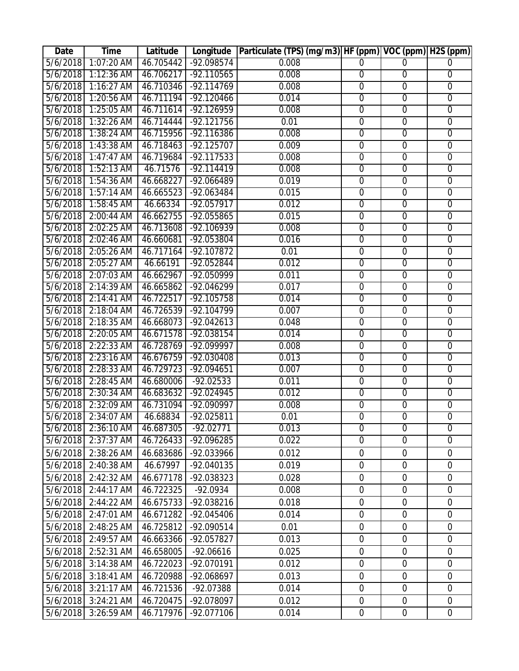| Date                 | <b>Time</b>                | Latitude               |                             | Longitude   Particulate (TPS) (mg/m3)   HF (ppm)   VOC (ppm)   H2S (ppm) |                     |                     |                                    |
|----------------------|----------------------------|------------------------|-----------------------------|--------------------------------------------------------------------------|---------------------|---------------------|------------------------------------|
| 5/6/2018             | 1:07:20 AM                 | 46.705442              | -92.098574                  | 0.008                                                                    | $\Omega$            | $\Omega$            | 0                                  |
| 5/6/2018             | $1:12:36$ AM               | 46.706217              | $-92.110565$                | 0.008                                                                    | $\overline{0}$      | $\overline{0}$      | $\overline{0}$                     |
| 5/6/2018             | $1:16:27$ AM               | 46.710346              | $-92.114769$                | 0.008                                                                    | $\overline{0}$      | $\mathbf 0$         | $\mathbf 0$                        |
| 5/6/2018             | 1:20:56 AM                 | 46.711194              | $-92.120466$                | 0.014                                                                    | $\overline{0}$      | $\overline{0}$      | $\mathbf 0$                        |
| 5/6/2018             | $1:25:05$ AM               | 46.711614              | -92.126959                  | 0.008                                                                    | $\overline{0}$      | $\overline{0}$      | $\overline{0}$                     |
| 5/6/2018             | $1:32:26$ AM               | 46.714444              | $-92.121756$                | 0.01                                                                     | $\overline{0}$      | $\overline{0}$      | $\overline{0}$                     |
| 5/6/2018             | 1:38:24 AM                 | 46.715956              | $-92.116386$                | 0.008                                                                    | $\mathbf 0$         | $\boldsymbol{0}$    | $\mathbf 0$                        |
| 5/6/2018             | $1:43:38$ AM               | 46.718463              | $-92.125707$                | 0.009                                                                    | $\overline{0}$      | $\overline{0}$      | $\overline{0}$                     |
| 5/6/2018             | $1:47:47$ AM               | 46.719684              | $-92.117533$                | 0.008                                                                    | $\overline{0}$      | $\overline{0}$      | $\overline{0}$                     |
| 5/6/2018             | $1:52:13$ AM               | 46.71576               | $-92.114419$                | 0.008                                                                    | $\mathbf 0$         | $\mathbf 0$         | $\mathbf 0$                        |
| 5/6/2018             | 1:54:36 AM                 | 46.668227              | $-92.066489$                | 0.019                                                                    | $\overline{0}$      | $\overline{0}$      | $\overline{0}$                     |
| 5/6/2018             | $1:57:14$ AM               | 46.665523              | $-92.063484$                | 0.015                                                                    | $\overline{0}$      | $\overline{0}$      | $\overline{0}$                     |
| 5/6/2018             | 1:58:45 AM                 | 46.66334               | $-92.057917$                | 0.012                                                                    | $\overline{0}$      | $\overline{0}$      | $\overline{0}$                     |
| 5/6/2018             | 2:00:44 AM                 | 46.662755              | $-92.055865$                | 0.015                                                                    | $\overline{0}$      | $\overline{0}$      | $\overline{0}$                     |
| 5/6/2018             | 2:02:25 AM                 | 46.713608              | $-92.106939$                | 0.008                                                                    | $\overline{0}$      | $\overline{0}$      | $\overline{0}$                     |
| 5/6/2018             | 2:02:46 AM                 | 46.660681              | $-92.053804$                | 0.016                                                                    | $\overline{0}$      | $\overline{0}$      | $\overline{0}$                     |
| 5/6/2018             | 2:05:26 AM                 | 46.717164              | $-92.107872$                | 0.01                                                                     | $\overline{0}$      | $\overline{0}$      | $\overline{0}$                     |
| 5/6/2018             | 2:05:27 AM                 | 46.66191               | $-92.052844$                | 0.012                                                                    | $\overline{0}$      | $\overline{0}$      | $\overline{0}$                     |
| 5/6/2018             | 2:07:03 AM                 | 46.662967              | -92.050999                  | 0.011                                                                    | $\overline{0}$      | $\overline{0}$      | $\overline{0}$                     |
| 5/6/2018             | 2:14:39 AM                 | 46.665862              | $-92.046299$                | 0.017                                                                    | $\overline{0}$      | $\overline{0}$      | $\overline{0}$                     |
| 5/6/2018             | 2:14:41 AM                 | 46.722517              | $-92.105758$                | 0.014                                                                    | $\overline{0}$      | $\overline{0}$      | $\mathbf 0$                        |
| 5/6/2018             | 2:18:04 AM                 | 46.726539              | $-92.104799$                | 0.007                                                                    | $\overline{0}$      | $\overline{0}$      | $\overline{0}$                     |
| 5/6/2018             | 2:18:35 AM                 | 46.668073              | $-92.042613$                | 0.048                                                                    | $\overline{0}$      | $\overline{0}$      | $\overline{0}$                     |
| 5/6/2018             | 2:20:05 AM                 | 46.671578              | $-92.038154$                | 0.014                                                                    | $\overline{0}$      | $\overline{0}$      | $\overline{0}$                     |
| 5/6/2018             | 2:22:33 AM                 | 46.728769              | $-92.099997$                | 0.008                                                                    | $\overline{0}$      | $\overline{0}$      | $\overline{0}$                     |
| 5/6/2018             | 2:23:16 AM                 | 46.676759              | $-92.030408$                | 0.013                                                                    | $\overline{0}$      | $\overline{0}$      | $\overline{0}$                     |
| 5/6/2018             | 2:28:33 AM                 | 46.729723              | $-92.094651$                | 0.007                                                                    | $\overline{0}$      | $\overline{0}$      | $\overline{0}$                     |
| 5/6/2018             | 2:28:45 AM                 | 46.680006              | $-92.02533$                 | 0.011                                                                    | $\overline{0}$      | $\overline{0}$      | $\overline{0}$                     |
| 5/6/2018             | 2:30:34 AM                 | 46.683632              | $-92.024945$                | 0.012                                                                    | $\overline{0}$      | $\overline{0}$      | $\overline{0}$                     |
| 5/6/2018<br>5/6/2018 | 2:32:09 AM                 | 46.731094              | -92.090997                  | 0.008                                                                    | $\overline{0}$      | $\overline{0}$      | $\overline{0}$                     |
|                      | 2:34:07 AM                 | 46.68834               | $-92.025811$<br>$-92.02771$ | 0.01<br>0.013                                                            | $\overline{0}$      | $\overline{0}$      | $\mathbf 0$                        |
| 5/6/2018<br>5/6/2018 | $2:36:10$ AM<br>2:37:37 AM | 46.687305<br>46.726433 | $-92.096285$                | 0.022                                                                    | 0<br>$\overline{0}$ | 0<br>$\overline{0}$ | $\boldsymbol{0}$<br>$\overline{0}$ |
|                      |                            |                        |                             |                                                                          |                     |                     |                                    |
| 5/6/2018             | 2:38:26 AM                 | 46.683686              | -92.033966                  | 0.012                                                                    | $\mathbf 0$         | $\mathbf 0$         | $\mathbf 0$                        |
| 5/6/2018             | 2:40:38 AM                 | 46.67997               | -92.040135                  | 0.019                                                                    | $\overline{0}$      | $\overline{0}$      | $\overline{0}$                     |
| 5/6/2018             | 2:42:32 AM                 | 46.677178              | -92.038323                  | 0.028                                                                    | $\boldsymbol{0}$    | $\mathbf 0$         | $\boldsymbol{0}$                   |
| 5/6/2018             | 2:44:17 AM                 | 46.722325              | $-92.0934$                  | 0.008                                                                    | $\mathbf 0$         | $\mathbf 0$         | $\overline{0}$                     |
| 5/6/2018             | 2:44:22 AM                 | 46.675733              | -92.038216                  | 0.018                                                                    | $\mathbf 0$         | $\mathbf 0$         | $\mathbf 0$                        |
| 5/6/2018             | 2:47:01 AM                 | 46.671282              | -92.045406                  | 0.014                                                                    | $\mathbf 0$         | $\mathbf 0$         | $\mathbf 0$                        |
| 5/6/2018             | 2:48:25 AM                 | 46.725812              | -92.090514                  | 0.01                                                                     | $\mathbf 0$         | $\overline{0}$      | $\mathbf 0$                        |
| 5/6/2018             | 2:49:57 AM                 | 46.663366              | -92.057827                  | 0.013                                                                    | $\mathbf 0$         | $\mathbf 0$         | $\mathbf 0$                        |
| 5/6/2018             | 2:52:31 AM                 | 46.658005              | $-92.06616$                 | 0.025                                                                    | $\mathbf 0$         | $\mathbf 0$         | $\mathbf 0$                        |
| 5/6/2018             | 3:14:38 AM                 | 46.722023              | -92.070191                  | 0.012                                                                    | $\mathbf 0$         | $\mathbf 0$         | $\mathbf 0$                        |
| 5/6/2018             | 3:18:41 AM                 | 46.720988              | -92.068697                  | 0.013                                                                    | $\mathbf 0$         | $\mathbf 0$         | $\overline{0}$                     |
| 5/6/2018             | 3:21:17 AM                 | 46.721536              | -92.07388                   | 0.014                                                                    | $\mathbf 0$         | $\overline{0}$      | $\mathbf 0$                        |
| 5/6/2018             | 3:24:21 AM                 | 46.720475              | -92.078097                  | 0.012                                                                    | $\mathbf 0$         | $\mathbf 0$         | $\boldsymbol{0}$                   |
| 5/6/2018             | 3:26:59 AM                 | 46.717976              | -92.077106                  | 0.014                                                                    | $\boldsymbol{0}$    | $\overline{0}$      | 0                                  |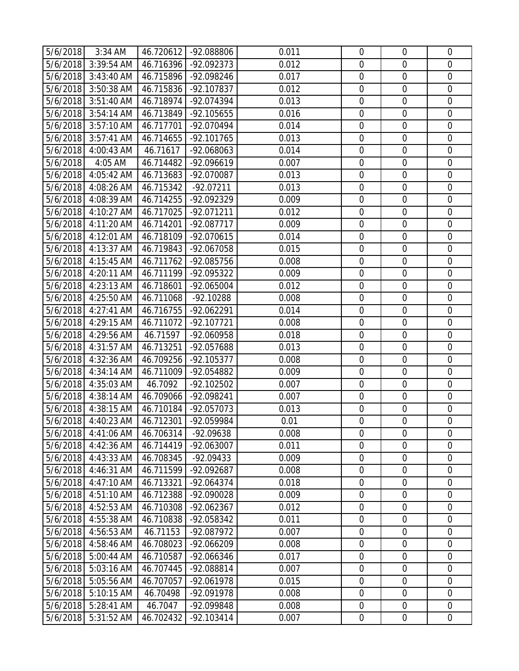| 5/6/2018             | 3:34 AM                  |                        | 46.720612 -92.088806     | 0.011          | $\mathbf 0$                     | $\mathbf 0$                     | $\mathbf 0$                |
|----------------------|--------------------------|------------------------|--------------------------|----------------|---------------------------------|---------------------------------|----------------------------|
|                      | 5/6/2018 3:39:54 AM      | 46.716396              | -92.092373               | 0.012          | $\mathbf 0$                     | $\overline{0}$                  | $\mathbf 0$                |
| 5/6/2018             | 3:43:40 AM               | 46.715896              | -92.098246               | 0.017          | $\boldsymbol{0}$                | $\mathbf 0$                     | $\mathbf 0$                |
|                      | 5/6/2018 3:50:38 AM      | 46.715836              | -92.107837               | 0.012          | $\mathbf 0$                     | $\overline{0}$                  | $\overline{0}$             |
|                      | 5/6/2018 3:51:40 AM      | 46.718974              | -92.074394               | 0.013          | $\boldsymbol{0}$                | $\boldsymbol{0}$                | $\overline{0}$             |
|                      | 5/6/2018 3:54:14 AM      | 46.713849              | -92.105655               | 0.016          | $\mathbf 0$                     | $\mathbf 0$                     | $\overline{0}$             |
|                      | 5/6/2018 3:57:10 AM      | 46.717701              | -92.070494               | 0.014          | $\mathbf 0$                     | $\mathbf 0$                     | $\mathbf 0$                |
| 5/6/2018             | 3:57:41 AM               | 46.714655              | $-92.101765$             | 0.013          | $\boldsymbol{0}$                | $\mathbf 0$                     | $\mathbf 0$                |
| 5/6/2018             | 4:00:43 AM               | 46.71617               | -92.068063               | 0.014          | $\mathbf 0$                     | $\overline{0}$                  | $\overline{0}$             |
| 5/6/2018             | 4:05 AM                  | 46.714482              | -92.096619               | 0.007          | $\boldsymbol{0}$                | $\mathbf 0$                     | $\mathbf 0$                |
|                      | 5/6/2018 4:05:42 AM      | 46.713683              | -92.070087               | 0.013          | $\mathbf 0$                     | $\mathbf 0$                     | $\mathbf 0$                |
| 5/6/2018             | 4:08:26 AM               | 46.715342              | $-92.07211$              | 0.013          | $\boldsymbol{0}$                | $\boldsymbol{0}$                | $\overline{0}$             |
| 5/6/2018             | 4:08:39 AM               | 46.714255              | -92.092329               | 0.009          | $\mathbf 0$                     | $\mathbf 0$                     | $\mathbf 0$                |
|                      | 5/6/2018 4:10:27 AM      | 46.717025              | -92.071211               | 0.012          | $\mathbf 0$                     | $\overline{0}$                  | $\mathbf 0$                |
|                      | 5/6/2018 4:11:20 AM      | 46.714201              | -92.087717               | 0.009          | $\boldsymbol{0}$                | $\mathbf 0$                     | $\overline{0}$             |
|                      | 5/6/2018 4:12:01 AM      | 46.718109              | -92.070615               | 0.014          | $\mathbf 0$                     | $\mathbf 0$                     | $\mathbf 0$                |
| 5/6/2018             | 4:13:37 AM               | 46.719843              | -92.067058               | 0.015          | $\boldsymbol{0}$                | $\boldsymbol{0}$                | $\mathbf 0$                |
| 5/6/2018             | 4:15:45 AM               | 46.711762              | -92.085756               | 0.008          | $\mathbf 0$                     | $\overline{0}$                  | $\overline{0}$             |
|                      | 5/6/2018 4:20:11 AM      | 46.711199              | -92.095322               | 0.009          | $\boldsymbol{0}$                | $\boldsymbol{0}$                | $\mathbf 0$                |
|                      | 5/6/2018 4:23:13 AM      | 46.718601              | -92.065004               | 0.012          | $\mathbf 0$                     | $\mathbf 0$                     | $\mathbf 0$                |
|                      | 5/6/2018 4:25:50 AM      | 46.711068              | $-92.10288$              | 0.008          | $\mathbf 0$                     | $\overline{0}$                  | $\mathbf 0$                |
| 5/6/2018             | 4:27:41 AM               | 46.716755              | -92.062291               | 0.014          | $\boldsymbol{0}$                | $\mathbf 0$                     | $\mathbf 0$                |
|                      | 5/6/2018 4:29:15 AM      | 46.711072              | -92.107721               | 0.008          | $\mathbf 0$                     | $\overline{0}$                  | $\overline{0}$             |
| 5/6/2018             | 4:29:56 AM               | 46.71597               | -92.060958               | 0.018          | $\boldsymbol{0}$                | $\boldsymbol{0}$                | $\overline{0}$             |
|                      | 5/6/2018 4:31:57 AM      | 46.713251              | -92.057688               | 0.013          | $\mathbf 0$                     | $\mathbf 0$                     | $\overline{0}$             |
| 5/6/2018             | 4:32:36 AM               | 46.709256              | -92.105377               | 0.008          | $\mathbf 0$                     | $\mathbf 0$                     | $\mathbf 0$                |
| 5/6/2018             | 4:34:14 AM               | 46.711009              | -92.054882               | 0.009          | $\boldsymbol{0}$                | $\mathbf 0$                     | $\mathbf 0$                |
| 5/6/2018             | 4:35:03 AM               | 46.7092                | -92.102502               | 0.007          | $\mathbf 0$                     | $\overline{0}$                  | $\overline{0}$             |
| 5/6/2018             | 4:38:14 AM               | 46.709066              | -92.098241               | 0.007          | $\boldsymbol{0}$                | $\mathbf 0$                     | $\mathbf 0$                |
|                      | 5/6/2018 4:38:15 AM      | 46.710184              | -92.057073               | 0.013          | $\boldsymbol{0}$                | $\boldsymbol{0}$                | $\mathbf 0$                |
|                      | 5/6/2018 4:40:23 AM      | 46.712301              | -92.059984               | 0.01           | $\mathbf 0$                     | $\overline{0}$                  | $\overline{0}$             |
|                      | 5/6/2018 4:41:06 AM      | 46.706314              | -92.09638                | 0.008          | $\mathbf 0$                     | $\mathbf 0$                     | $\mathbf 0$                |
| 5/6/2018             | 4:42:36 AM               | 46.714419              | -92.063007               | 0.011          | $\boldsymbol{0}$                | $\mathbf 0$                     | $\mathbf 0$                |
| 5/6/2018             | 4:43:33 AM               | 46.708345              | -92.09433                | 0.009          | $\mathbf 0$                     | $\mathbf 0$                     | $\overline{0}$             |
| 5/6/2018<br>5/6/2018 | 4:46:31 AM<br>4:47:10 AM | 46.711599              | -92.092687<br>-92.064374 | 0.008<br>0.018 | $\mathbf 0$<br>$\boldsymbol{0}$ | $\mathbf 0$<br>$\boldsymbol{0}$ | $\mathbf 0$<br>$\mathbf 0$ |
| 5/6/2018             | 4:51:10 AM               | 46.713321<br>46.712388 | -92.090028               | 0.009          | $\mathbf 0$                     | $\mathbf 0$                     | $\overline{0}$             |
| 5/6/2018             | 4:52:53 AM               | 46.710308              | -92.062367               | 0.012          | $\boldsymbol{0}$                | $\boldsymbol{0}$                | $\overline{0}$             |
| 5/6/2018             | 4:55:38 AM               | 46.710838              | -92.058342               | 0.011          | $\mathbf 0$                     | $\mathbf 0$                     | $\mathbf 0$                |
| 5/6/2018             | 4:56:53 AM               | 46.71153               | -92.087972               | 0.007          | $\mathbf 0$                     | $\mathbf 0$                     | $\overline{0}$             |
| 5/6/2018             | 4:58:46 AM               | 46.708023              | -92.066209               | 0.008          | $\mathbf 0$                     | $\mathbf 0$                     | $\mathbf 0$                |
| 5/6/2018             | 5:00:44 AM               | 46.710587              | -92.066346               | 0.017          | $\overline{0}$                  | $\overline{0}$                  | $\overline{0}$             |
| 5/6/2018             | 5:03:16 AM               | 46.707445              | -92.088814               | 0.007          | $\boldsymbol{0}$                | $\boldsymbol{0}$                | $\overline{0}$             |
| 5/6/2018             | 5:05:56 AM               | 46.707057              | -92.061978               | 0.015          | $\mathbf 0$                     | $\mathbf 0$                     | $\mathbf 0$                |
| 5/6/2018             | 5:10:15 AM               | 46.70498               | -92.091978               | 0.008          | $\boldsymbol{0}$                | $\mathbf 0$                     | $\mathbf 0$                |
| 5/6/2018             | 5:28:41 AM               | 46.7047                | -92.099848               | 0.008          | $\mathbf 0$                     | $\boldsymbol{0}$                | $\overline{0}$             |
| 5/6/2018             | 5:31:52 AM               | 46.702432              | -92.103414               | 0.007          | $\mathbf 0$                     | $\mathbf 0$                     | $\overline{0}$             |
|                      |                          |                        |                          |                |                                 |                                 |                            |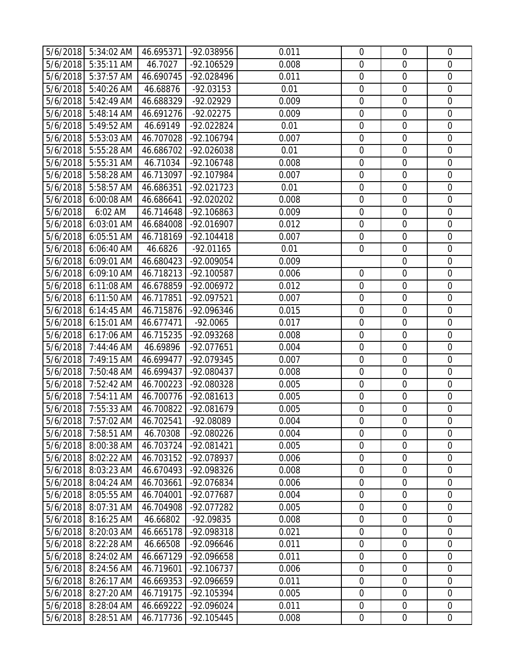|                      |                          | 5/6/2018 5:34:02 AM   46.695371 | -92.038956               | 0.011          | $\mathbf 0$                | $\overline{0}$             | $\mathbf 0$                |
|----------------------|--------------------------|---------------------------------|--------------------------|----------------|----------------------------|----------------------------|----------------------------|
| 5/6/2018             | 5:35:11 AM               | 46.7027                         | -92.106529               | 0.008          | $\mathbf 0$                | $\mathbf 0$                | $\mathbf 0$                |
| 5/6/2018             | 5:37:57 AM               | 46.690745                       | -92.028496               | 0.011          | $\mathbf 0$                | $\mathbf 0$                | $\mathbf 0$                |
| 5/6/2018             | 5:40:26 AM               | 46.68876                        | $-92.03153$              | 0.01           | $\mathbf 0$                | $\overline{0}$             | $\overline{0}$             |
| 5/6/2018             | $\overline{5:}42:49$ AM  | 46.688329                       | -92.02929                | 0.009          | $\mathbf 0$                | $\boldsymbol{0}$           | $\mathbf 0$                |
| 5/6/2018             | 5:48:14 AM               | 46.691276                       | $-92.02275$              | 0.009          | $\mathbf 0$                | $\mathbf 0$                | $\overline{0}$             |
| 5/6/2018             | 5:49:52 AM               | 46.69149                        | -92.022824               | 0.01           | $\mathbf 0$                | $\mathbf 0$                | $\mathbf 0$                |
| 5/6/2018             | 5:53:03 AM               | 46.707028                       | -92.106794               | 0.007          | $\mathbf 0$                | $\mathbf 0$                | $\mathbf 0$                |
| 5/6/2018             | 5:55:28 AM               | 46.686702                       | -92.026038               | 0.01           | $\mathbf 0$                | $\overline{0}$             | $\overline{0}$             |
| 5/6/2018             | 5:55:31 AM               | 46.71034                        | -92.106748               | 0.008          | $\mathbf 0$                | $\mathbf 0$                | $\mathbf 0$                |
| 5/6/2018             | 5:58:28 AM               | 46.713097                       | -92.107984               | 0.007          | $\mathbf 0$                | $\mathbf 0$                | $\mathbf 0$                |
| 5/6/2018             | 5:58:57 AM               | 46.686351                       | -92.021723               | 0.01           | $\boldsymbol{0}$           | $\boldsymbol{0}$           | $\mathbf 0$                |
| 5/6/2018             | 6:00:08 AM               | 46.686641                       | -92.020202               | 0.008          | $\mathbf 0$                | $\mathbf 0$                | $\mathbf 0$                |
| 5/6/2018             | 6:02 AM                  | 46.714648                       | -92.106863               | 0.009          | $\mathbf 0$                | $\mathbf 0$                | $\mathbf 0$                |
| 5/6/2018             | 6:03:01 AM               | 46.684008                       | -92.016907               | 0.012          | $\mathbf 0$                | $\mathbf 0$                | $\overline{0}$             |
| 5/6/2018             | $6:05:51$ AM             | 46.718169                       | $-92.104418$             | 0.007          | $\mathbf 0$                | $\mathbf 0$                | $\overline{0}$             |
| 5/6/2018             | 6:06:40 AM               | 46.6826                         | $-92.01165$              | 0.01           | $\boldsymbol{0}$           | $\boldsymbol{0}$           | $\mathbf 0$                |
| 5/6/2018             | 6:09:01 AM               | 46.680423                       | -92.009054               | 0.009          |                            | $\mathbf 0$                | $\mathbf 0$                |
| 5/6/2018 6:09:10 AM  |                          | 46.718213                       | -92.100587               | 0.006          | $\mathbf 0$                | $\boldsymbol{0}$           | $\mathbf 0$                |
| 5/6/2018             | 6:11:08 AM               | 46.678859                       | -92.006972               | 0.012          | $\mathbf 0$                | $\mathbf 0$                | $\mathbf 0$                |
| 5/6/2018 6:11:50 AM  |                          | 46.717851                       | -92.097521               | 0.007          | $\mathbf 0$                | $\overline{0}$             | $\mathbf 0$                |
| 5/6/2018             | 6:14:45 AM               | 46.715876                       | -92.096346               | 0.015          | $\mathbf 0$                | $\mathbf 0$                | $\mathbf 0$                |
| 5/6/2018 6:15:01 AM  |                          | 46.677471                       | $-92.0065$               | 0.017          | $\mathbf 0$                | $\overline{0}$             | $\overline{0}$             |
| 5/6/2018 6:17:06 AM  |                          | 46.715235                       | -92.093268               | 0.008          | $\boldsymbol{0}$           | $\boldsymbol{0}$           | $\mathbf 0$                |
| 5/6/2018 7:44:46 AM  |                          | 46.69896                        | -92.077651               | 0.004          | $\mathbf 0$                | $\mathbf 0$                | $\overline{0}$             |
| 5/6/2018             | 7:49:15 AM               | 46.699477                       | -92.079345               | 0.007          | $\mathbf 0$                | $\mathbf 0$                | $\mathbf 0$                |
| 5/6/2018             | 7:50:48 AM               | 46.699437                       | -92.080437               | 0.008          | $\mathbf 0$                | $\mathbf 0$                | $\mathbf 0$                |
| 5/6/2018 7:52:42 AM  |                          | 46.700223                       | -92.080328               | 0.005          | $\mathbf 0$                | $\overline{0}$             | $\overline{0}$             |
| 5/6/2018 7:54:11 AM  |                          | 46.700776                       | -92.081613               | 0.005          | $\boldsymbol{0}$           | $\mathbf 0$                | $\mathbf 0$                |
| 5/6/2018 7:55:33 AM  |                          | 46.700822                       | -92.081679               | 0.005          | $\mathbf 0$                | $\boldsymbol{0}$           | $\mathbf 0$                |
| 5/6/2018 7:57:02 AM  |                          | 46.702541                       | -92.08089                | 0.004          | $\mathbf 0$                | $\overline{0}$             | $\mathbf 0$                |
| 5/6/2018             | 7:58:51 AM               | 46.70308                        | -92.080226               | 0.004          | $\mathbf 0$                | $\mathbf 0$                | $\mathbf 0$                |
| 5/6/2018             | 8:00:38 AM<br>8:02:22 AM | 46.703724                       | -92.081421               | 0.005          | $\boldsymbol{0}$           | $\mathbf 0$                | $\mathbf 0$                |
| 5/6/2018             | 8:03:23 AM               | 46.703152<br>46.670493          | -92.078937<br>-92.098326 | 0.006<br>0.008 | $\mathbf 0$<br>$\mathbf 0$ | $\mathbf 0$<br>$\mathbf 0$ | $\mathbf 0$<br>$\mathbf 0$ |
| 5/6/2018<br>5/6/2018 | 8:04:24 AM               | 46.703661                       | -92.076834               | 0.006          | 0                          | $\boldsymbol{0}$           | $\mathbf 0$                |
| 5/6/2018             | 8:05:55 AM               | 46.704001                       | -92.077687               | 0.004          | $\mathbf 0$                | $\mathbf 0$                | $\overline{0}$             |
| 5/6/2018             | 8:07:31 AM               | 46.704908                       | -92.077282               | 0.005          | $\boldsymbol{0}$           | $\boldsymbol{0}$           | $\overline{0}$             |
| 5/6/2018             | 8:16:25 AM               | 46.66802                        | -92.09835                | 0.008          | $\mathbf 0$                | $\mathbf 0$                | $\mathbf 0$                |
| 5/6/2018             | 8:20:03 AM               | 46.665178                       | -92.098318               | 0.021          | $\mathbf 0$                | $\overline{0}$             | $\overline{0}$             |
| 5/6/2018             | 8:22:28 AM               | 46.66508                        | -92.096646               | 0.011          | $\mathbf 0$                | $\mathbf 0$                | $\mathbf 0$                |
| 5/6/2018             | 8:24:02 AM               | 46.667129                       | -92.096658               | 0.011          | $\overline{0}$             | $\mathbf 0$                | $\overline{0}$             |
| 5/6/2018             | 8:24:56 AM               | 46.719601                       | -92.106737               | 0.006          | $\boldsymbol{0}$           | $\boldsymbol{0}$           | $\mathbf 0$                |
| 5/6/2018             | 8:26:17 AM               | 46.669353                       | -92.096659               | 0.011          | $\mathbf 0$                | $\mathbf 0$                | $\mathbf 0$                |
| 5/6/2018             | 8:27:20 AM               | 46.719175                       | -92.105394               | 0.005          | $\mathbf 0$                | $\mathbf 0$                | $\mathbf 0$                |
| 5/6/2018             |                          |                                 |                          |                |                            |                            |                            |
|                      | 8:28:04 AM               | 46.669222                       | -92.096024               | 0.011          | $\mathbf 0$                | $\mathbf 0$                | $\overline{0}$             |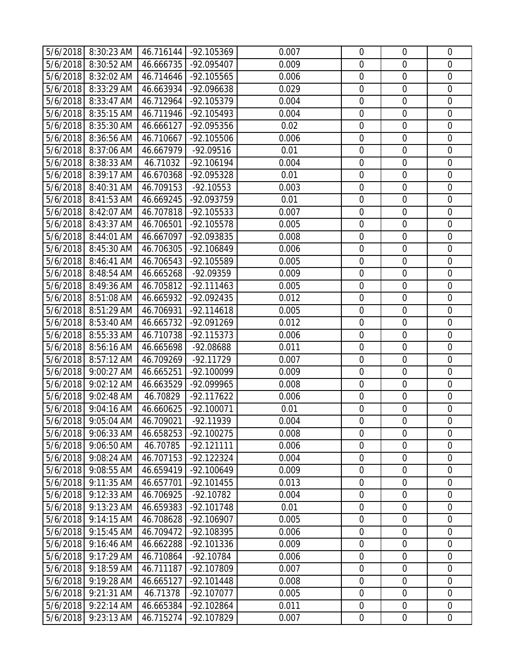|                      | 5/6/2018 8:30:23 AM      | 46.716144              | -92.105369                 | 0.007          | $\mathbf 0$      | $\overline{0}$                  | $\mathbf 0$                |
|----------------------|--------------------------|------------------------|----------------------------|----------------|------------------|---------------------------------|----------------------------|
|                      | 5/6/2018 8:30:52 AM      | 46.666735              | -92.095407                 | 0.009          | $\mathbf 0$      | $\mathbf 0$                     | $\mathbf 0$                |
| 5/6/2018             | 8:32:02 AM               | 46.714646              | -92.105565                 | 0.006          | $\mathbf 0$      | $\mathbf 0$                     | $\mathbf 0$                |
|                      | 5/6/2018 8:33:29 AM      | 46.663934              | -92.096638                 | 0.029          | $\mathbf 0$      | $\overline{0}$                  | $\overline{0}$             |
| 5/6/2018             | 8:33:47 AM               | 46.712964              | -92.105379                 | 0.004          | $\mathbf 0$      | $\boldsymbol{0}$                | $\mathbf 0$                |
| 5/6/2018             | 8:35:15 AM               | 46.711946              | -92.105493                 | 0.004          | $\mathbf 0$      | $\mathbf 0$                     | $\overline{0}$             |
| 5/6/2018             | 8:35:30 AM               | 46.666127              | -92.095356                 | 0.02           | $\mathbf 0$      | $\mathbf 0$                     | $\mathbf 0$                |
| 5/6/2018             | 8:36:56 AM               | 46.710667              | -92.105506                 | 0.006          | $\mathbf 0$      | $\mathbf 0$                     | $\mathbf 0$                |
|                      | 5/6/2018 8:37:06 AM      | 46.667979              | $-92.09516$                | 0.01           | $\mathbf 0$      | $\overline{0}$                  | $\overline{0}$             |
|                      | 5/6/2018 8:38:33 AM      | 46.71032               | $-92.106194$               | 0.004          | $\mathbf 0$      | $\mathbf 0$                     | $\mathbf 0$                |
|                      | 5/6/2018 8:39:17 AM      | 46.670368              | -92.095328                 | 0.01           | $\mathbf 0$      | $\mathbf 0$                     | $\mathbf 0$                |
| 5/6/2018             | 8:40:31 AM               | 46.709153              | $-92.10553$                | 0.003          | $\boldsymbol{0}$ | $\boldsymbol{0}$                | $\mathbf 0$                |
| 5/6/2018             | 8:41:53 AM               | 46.669245              | -92.093759                 | 0.01           | $\mathbf 0$      | $\mathbf 0$                     | $\mathbf 0$                |
|                      | 5/6/2018 8:42:07 AM      | 46.707818              | -92.105533                 | 0.007          | $\mathbf 0$      | $\overline{0}$                  | $\mathbf 0$                |
| 5/6/2018             | 8:43:37 AM               | 46.706501              | -92.105578                 | 0.005          | $\mathbf 0$      | $\mathbf 0$                     | $\mathbf 0$                |
|                      | 5/6/2018 8:44:01 AM      | 46.667097              | -92.093835                 | 0.008          | $\mathbf 0$      | $\mathbf 0$                     | $\mathbf 0$                |
| 5/6/2018             | 8:45:30 AM               | 46.706305              | -92.106849                 | 0.006          | $\boldsymbol{0}$ | $\boldsymbol{0}$                | $\mathbf 0$                |
| 5/6/2018             | 8:46:41 AM               | 46.706543              | -92.105589                 | 0.005          | $\mathbf 0$      | $\overline{0}$                  | $\mathbf 0$                |
|                      | 5/6/2018 8:48:54 AM      | 46.665268              | -92.09359                  | 0.009          | $\mathbf 0$      | $\boldsymbol{0}$                | $\mathbf 0$                |
| 5/6/2018             | 8:49:36 AM               | 46.705812              | $-92.111463$               | 0.005          | $\mathbf 0$      | $\mathbf 0$                     | $\mathbf 0$                |
|                      | 5/6/2018 8:51:08 AM      | 46.665932              | -92.092435                 | 0.012          | $\mathbf 0$      | $\overline{0}$                  | $\mathbf 0$                |
| 5/6/2018             | 8:51:29 AM               | 46.706931              | $-92.114618$               | 0.005          | $\mathbf 0$      | $\mathbf 0$                     | $\mathbf 0$                |
|                      | 5/6/2018 8:53:40 AM      | 46.665732              | -92.091269                 | 0.012          | $\mathbf 0$      | $\overline{0}$                  | $\overline{0}$             |
| 5/6/2018             | 8:55:33 AM               | 46.710738              | -92.115373                 | 0.006          | $\boldsymbol{0}$ | $\boldsymbol{0}$                | $\mathbf 0$                |
| 5/6/2018             | 8:56:16 AM               | 46.665698              | -92.08688                  | 0.011          | $\mathbf 0$      | $\mathbf 0$                     | $\overline{0}$             |
| 5/6/2018             | 8:57:12 AM               | 46.709269              | $-92.11729$                | 0.007          | $\mathbf 0$      | $\mathbf 0$                     | $\mathbf 0$                |
| 5/6/2018             | 9:00:27 AM               | 46.665251              | -92.100099                 | 0.009          | $\mathbf 0$      | $\mathbf 0$                     | $\mathbf 0$                |
| 5/6/2018             | 9:02:12 AM               | 46.663529              | -92.099965                 | 0.008          | $\mathbf 0$      | $\overline{0}$                  | $\overline{0}$             |
| 5/6/2018             | 9:02:48 AM               | 46.70829               | $-92.117622$               | 0.006          | $\boldsymbol{0}$ | $\mathbf 0$                     | $\mathbf 0$                |
| 5/6/2018             | 9:04:16 AM               | 46.660625              | $-92.100071$               | 0.01           | $\boldsymbol{0}$ | $\boldsymbol{0}$                | $\mathbf 0$                |
|                      | 5/6/2018 9:05:04 AM      | 46.709021              | $-92.11939$                | 0.004          | $\mathbf 0$      | $\overline{0}$                  | $\mathbf 0$                |
| 5/6/2018             | 9:06:33 AM               | 46.658253              | -92.100275                 | 0.008          | $\mathbf 0$      | $\mathbf 0$                     | $\mathbf 0$                |
| 5/6/2018             | 9:06:50 AM               | 46.70785               | $-92.121111$               | 0.006          | $\mathbf 0$      | $\mathbf 0$                     | $\mathbf 0$                |
| 5/6/2018             | 9:08:24 AM               | 46.707153<br>46.659419 | $-92.122324$               | 0.004          | $\mathbf 0$      | $\mathbf 0$                     | $\mathbf 0$                |
| 5/6/2018<br>5/6/2018 | 9:08:55 AM<br>9:11:35 AM | 46.657701              | -92.100649<br>$-92.101455$ | 0.009<br>0.013 | $\mathbf 0$<br>0 | $\mathbf 0$<br>$\boldsymbol{0}$ | $\mathbf 0$<br>$\mathbf 0$ |
| 5/6/2018             | 9:12:33 AM               | 46.706925              | $-92.10782$                | 0.004          | $\mathbf 0$      | $\mathbf 0$                     | $\overline{0}$             |
| 5/6/2018             | 9:13:23 AM               | 46.659383              | -92.101748                 | 0.01           | $\boldsymbol{0}$ | $\boldsymbol{0}$                | $\overline{0}$             |
| 5/6/2018             | 9:14:15 AM               | 46.708628              | $-92.106907$               | 0.005          | $\mathbf 0$      | $\mathbf 0$                     | $\mathbf 0$                |
| 5/6/2018             | 9:15:45 AM               | 46.709472              | -92.108395                 | 0.006          | $\mathbf 0$      | $\mathbf 0$                     | $\overline{0}$             |
| 5/6/2018             | 9:16:46 AM               | 46.662288              | -92.101336                 | 0.009          | $\mathbf 0$      | $\mathbf 0$                     | $\mathbf 0$                |
| 5/6/2018             | 9:17:29 AM               | 46.710864              | -92.10784                  | 0.006          | $\overline{0}$   | $\mathbf 0$                     | $\overline{0}$             |
| 5/6/2018             | 9:18:59 AM               | 46.711187              | -92.107809                 | 0.007          | $\boldsymbol{0}$ | $\boldsymbol{0}$                | $\overline{0}$             |
| 5/6/2018             | 9:19:28 AM               | 46.665127              | -92.101448                 | 0.008          | $\mathbf 0$      | $\mathbf 0$                     | $\mathbf 0$                |
| 5/6/2018             | 9:21:31 AM               | 46.71378               | -92.107077                 | 0.005          | $\mathbf 0$      | $\mathbf 0$                     | $\mathbf 0$                |
| 5/6/2018             | 9:22:14 AM               | 46.665384              | -92.102864                 | 0.011          | $\mathbf 0$      | $\boldsymbol{0}$                | $\overline{0}$             |
| 5/6/2018             | 9:23:13 AM               | 46.715274              | -92.107829                 | 0.007          | $\mathbf 0$      | $\mathbf 0$                     | $\overline{0}$             |
|                      |                          |                        |                            |                |                  |                                 |                            |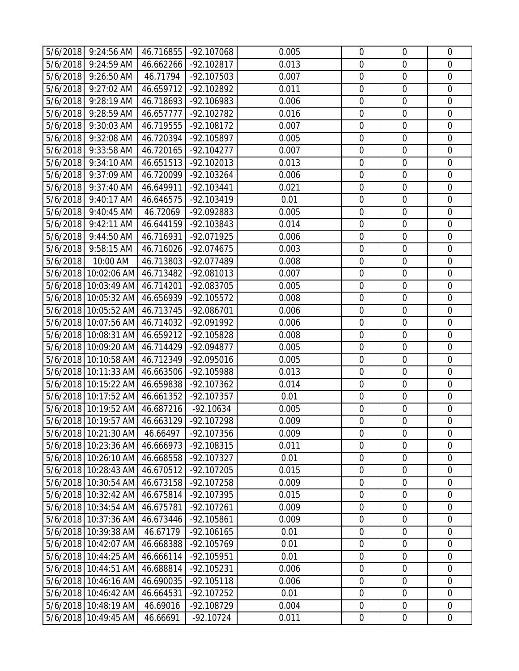|          | 5/6/2018 9:24:56 AM            | 46.716855 | -92.107068   | 0.005 | $\mathbf 0$      | $\overline{0}$             | $\mathbf 0$                |
|----------|--------------------------------|-----------|--------------|-------|------------------|----------------------------|----------------------------|
|          | 5/6/2018 9:24:59 AM            | 46.662266 | -92.102817   | 0.013 | $\mathbf 0$      | $\mathbf 0$                | $\mathbf 0$                |
| 5/6/2018 | 9:26:50 AM                     | 46.71794  | -92.107503   | 0.007 | $\mathbf 0$      | $\mathbf 0$                | $\mathbf 0$                |
|          | 5/6/2018 9:27:02 AM            | 46.659712 | -92.102892   | 0.011 | $\overline{0}$   | $\overline{0}$             | $\overline{0}$             |
|          | 5/6/2018 9:28:19 AM            | 46.718693 | -92.106983   | 0.006 | $\boldsymbol{0}$ | $\boldsymbol{0}$           | $\overline{0}$             |
|          | 5/6/2018 9:28:59 AM            | 46.657777 | -92.102782   | 0.016 | $\mathbf 0$      | $\mathbf 0$                | $\overline{0}$             |
|          | 5/6/2018 9:30:03 AM            | 46.719555 | -92.108172   | 0.007 | $\mathbf 0$      | $\mathbf 0$                | $\mathbf 0$                |
| 5/6/2018 | 9:32:08 AM                     | 46.720394 | -92.105897   | 0.005 | $\mathbf 0$      | $\mathbf 0$                | $\mathbf 0$                |
|          | 5/6/2018 9:33:58 AM            | 46.720165 | $-92.104277$ | 0.007 | $\mathbf 0$      | $\overline{0}$             | $\overline{0}$             |
|          | 5/6/2018 9:34:10 AM            | 46.651513 | -92.102013   | 0.013 | $\mathbf 0$      | $\mathbf 0$                | $\mathbf 0$                |
|          | 5/6/2018 9:37:09 AM            | 46.720099 | -92.103264   | 0.006 | $\mathbf 0$      | $\mathbf 0$                | $\mathbf 0$                |
| 5/6/2018 | 9:37:40 AM                     | 46.649911 | -92.103441   | 0.021 | $\boldsymbol{0}$ | $\mathbf 0$                | $\overline{0}$             |
| 5/6/2018 | 9:40:17 AM                     | 46.646575 | $-92.103419$ | 0.01  | $\mathbf 0$      | $\mathbf 0$                | $\mathbf 0$                |
|          | 5/6/2018 9:40:45 AM            | 46.72069  | -92.092883   | 0.005 | $\mathbf 0$      | $\mathbf 0$                | $\mathbf 0$                |
|          | 5/6/2018 9:42:11 AM            | 46.644159 | -92.103843   | 0.014 | $\mathbf 0$      | $\mathbf 0$                | $\overline{0}$             |
|          | 5/6/2018 9:44:50 AM            | 46.716931 | -92.071925   | 0.006 | $\mathbf 0$      | $\mathbf 0$                | $\mathbf 0$                |
| 5/6/2018 | 9:58:15 AM                     | 46.716026 | -92.074675   | 0.003 | $\boldsymbol{0}$ | $\boldsymbol{0}$           | $\mathbf 0$                |
| 5/6/2018 | 10:00 AM                       | 46.713803 | -92.077489   | 0.008 | $\mathbf 0$      | $\overline{0}$             | $\mathbf 0$                |
|          | 5/6/2018 10:02:06 AM           | 46.713482 | -92.081013   | 0.007 | $\mathbf 0$      | $\boldsymbol{0}$           | $\mathbf 0$                |
|          | 5/6/2018 10:03:49 AM           | 46.714201 | -92.083705   | 0.005 | $\mathbf 0$      | $\mathbf 0$                | $\mathbf 0$                |
|          | 5/6/2018 10:05:32 AM           | 46.656939 | $-92.105572$ | 0.008 | $\mathbf 0$      | $\overline{0}$             | $\mathbf 0$                |
|          | 5/6/2018 10:05:52 AM           | 46.713745 | -92.086701   | 0.006 | $\mathbf 0$      | $\mathbf 0$                | $\mathbf 0$                |
|          | 5/6/2018 10:07:56 AM           | 46.714032 | -92.091992   | 0.006 | $\mathbf 0$      | $\overline{0}$             | $\overline{0}$             |
|          | 5/6/2018 10:08:31 AM           | 46.659212 | -92.105828   | 0.008 | $\boldsymbol{0}$ | $\boldsymbol{0}$           | $\overline{0}$             |
|          | 5/6/2018 10:09:20 AM           | 46.714429 | -92.094877   | 0.005 | $\mathbf 0$      | $\mathbf 0$                | $\overline{0}$             |
|          | 5/6/2018 10:10:58 AM           | 46.712349 | -92.095016   | 0.005 | $\boldsymbol{0}$ | $\mathbf 0$                | $\mathbf 0$                |
|          | 5/6/2018 10:11:33 AM           | 46.663506 | -92.105988   | 0.013 | $\mathbf 0$      | $\mathbf 0$                | $\mathbf 0$                |
|          | 5/6/2018 10:15:22 AM           | 46.659838 | -92.107362   | 0.014 | $\mathbf 0$      | $\overline{0}$             | $\overline{0}$             |
|          | 5/6/2018 10:17:52 AM           | 46.661352 | -92.107357   | 0.01  | $\boldsymbol{0}$ | $\mathbf 0$                | $\mathbf 0$                |
|          | 5/6/2018 10:19:52 AM           | 46.687216 | $-92.10634$  | 0.005 | $\mathbf 0$      | $\boldsymbol{0}$           | $\mathbf 0$                |
|          | 5/6/2018 10:19:57 AM 46.663129 |           | -92.107298   | 0.009 | $\mathbf 0$      | $\overline{0}$             | $\mathbf 0$                |
|          | 5/6/2018 10:21:30 AM           | 46.66497  | -92.107356   | 0.009 | $\mathbf 0$      | $\overline{0}$             | $\mathbf 0$                |
|          | 5/6/2018 10:23:36 AM           | 46.666973 | -92.108315   | 0.011 | $\mathbf 0$      | $\mathbf 0$                | $\mathbf 0$                |
|          | 5/6/2018 10:26:10 AM           | 46.668558 | -92.107327   | 0.01  | $\mathbf 0$      | $\mathbf 0$                | $\overline{0}$             |
|          | 5/6/2018 10:28:43 AM           | 46.670512 | -92.107205   | 0.015 | $\mathbf 0$      | $\mathbf 0$                | $\mathbf 0$                |
|          | 5/6/2018 10:30:54 AM           | 46.673158 | -92.107258   | 0.009 | 0                | $\boldsymbol{0}$           | $\mathbf 0$                |
|          | 5/6/2018 10:32:42 AM           | 46.675814 | -92.107395   | 0.015 | $\mathbf 0$      | $\mathbf 0$                | $\overline{0}$             |
|          | 5/6/2018 10:34:54 AM           | 46.675781 | -92.107261   | 0.009 | $\boldsymbol{0}$ | $\boldsymbol{0}$           | $\overline{0}$             |
|          | 5/6/2018 10:37:36 AM           | 46.673446 | -92.105861   | 0.009 | $\mathbf 0$      | $\mathbf 0$                | $\mathbf 0$                |
|          | 5/6/2018 10:39:38 AM           | 46.67179  | $-92.106165$ | 0.01  | $\mathbf 0$      | $\overline{0}$             | $\overline{0}$             |
|          | 5/6/2018 10:42:07 AM           | 46.668388 | -92.105769   | 0.01  | $\mathbf 0$      | $\mathbf 0$                | $\mathbf 0$                |
|          | 5/6/2018 10:44:25 AM           | 46.666114 | -92.105951   | 0.01  | $\mathbf 0$      | $\mathbf 0$                | $\overline{0}$             |
|          | 5/6/2018 10:44:51 AM           | 46.688814 | -92.105231   | 0.006 | $\boldsymbol{0}$ | $\boldsymbol{0}$           | $\mathbf 0$                |
|          | 5/6/2018 10:46:16 AM           | 46.690035 | -92.105118   | 0.006 | $\mathbf 0$      | $\mathbf 0$<br>$\mathbf 0$ | $\mathbf 0$<br>$\mathbf 0$ |
|          | 5/6/2018 10:46:42 AM           | 46.664531 | -92.107252   | 0.01  | $\mathbf 0$      |                            |                            |
|          | 5/6/2018 10:48:19 AM           | 46.69016  | -92.108729   | 0.004 | $\mathbf 0$      | $\mathbf 0$                | $\overline{0}$             |
|          | 5/6/2018 10:49:45 AM           | 46.66691  | $-92.10724$  | 0.011 | $\mathbf 0$      | $\mathbf 0$                | $\overline{0}$             |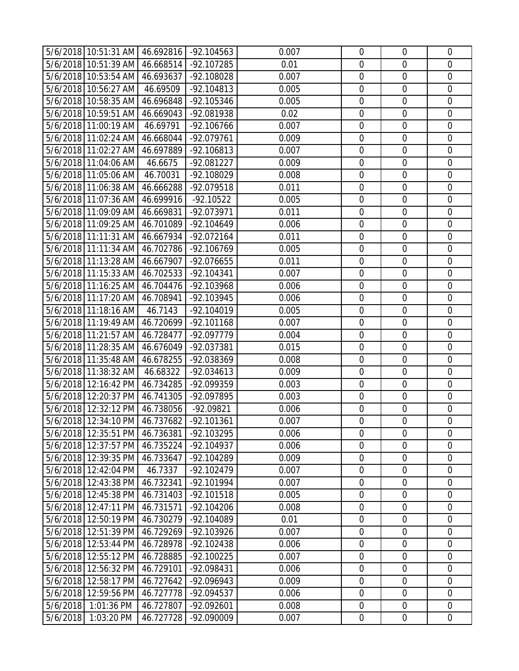|          | 5/6/2018 10:51:31 AM 46.692816               |                        | -92.104563               | 0.007          | $\mathbf 0$                | $\overline{0}$                | $\mathbf 0$                |
|----------|----------------------------------------------|------------------------|--------------------------|----------------|----------------------------|-------------------------------|----------------------------|
|          | 5/6/2018 10:51:39 AM                         | 46.668514              | -92.107285               | 0.01           | $\mathbf 0$                | $\mathbf 0$                   | $\mathbf 0$                |
|          | 5/6/2018 10:53:54 AM                         | 46.693637              | -92.108028               | 0.007          | $\mathbf 0$                | $\mathbf 0$                   | $\mathbf 0$                |
|          | 5/6/2018 10:56:27 AM                         | 46.69509               | -92.104813               | 0.005          | $\overline{0}$             | $\overline{0}$                | $\overline{0}$             |
|          | 5/6/2018 10:58:35 AM                         | 46.696848              | -92.105346               | 0.005          | $\boldsymbol{0}$           | $\boldsymbol{0}$              | $\overline{0}$             |
|          | 5/6/2018 10:59:51 AM                         | 46.669043              | -92.081938               | 0.02           | $\mathbf 0$                | $\mathbf 0$                   | $\overline{0}$             |
|          | 5/6/2018 11:00:19 AM                         | 46.69791               | -92.106766               | 0.007          | $\mathbf 0$                | $\mathbf 0$                   | $\mathbf 0$                |
|          | 5/6/2018 11:02:24 AM                         | 46.668044              | -92.079761               | 0.009          | $\mathbf 0$                | $\mathbf 0$                   | $\mathbf 0$                |
|          | 5/6/2018 11:02:27 AM                         | 46.697889              | -92.106813               | 0.007          | $\mathbf 0$                | $\overline{0}$                | $\overline{0}$             |
|          | 5/6/2018 11:04:06 AM                         | 46.6675                | -92.081227               | 0.009          | $\mathbf 0$                | $\mathbf 0$                   | $\mathbf 0$                |
|          | 5/6/2018 11:05:06 AM                         | 46.70031               | -92.108029               | 0.008          | $\mathbf 0$                | $\overline{0}$                | $\mathbf 0$                |
|          | 5/6/2018 11:06:38 AM                         | 46.666288              | -92.079518               | 0.011          | $\boldsymbol{0}$           | $\mathbf 0$                   | $\mathbf 0$                |
|          | 5/6/2018 11:07:36 AM                         | 46.699916              | $-92.10522$              | 0.005          | $\mathbf 0$                | $\mathbf 0$                   | $\mathbf 0$                |
|          | 5/6/2018 11:09:09 AM                         | 46.669831              | -92.073971               | 0.011          | $\mathbf 0$                | $\overline{0}$                | $\mathbf 0$                |
|          | 5/6/2018 11:09:25 AM                         | 46.701089              | -92.104649               | 0.006          | $\mathbf 0$                | $\mathbf 0$                   | $\overline{0}$             |
|          | 5/6/2018 11:11:31 AM                         | 46.667934              | -92.072164               | 0.011          | $\mathbf 0$                | $\mathbf 0$                   | $\mathbf 0$                |
|          | 5/6/2018 11:11:34 AM                         | 46.702786              | $-92.106769$             | 0.005          | $\boldsymbol{0}$           | $\boldsymbol{0}$              | $\mathbf 0$                |
|          | 5/6/2018 11:13:28 AM                         | 46.667907              | -92.076655               | 0.011          | $\mathbf 0$                | $\overline{0}$                | $\mathbf 0$                |
|          | 5/6/2018 11:15:33 AM                         | 46.702533              | $-92.104341$             | 0.007          | $\mathbf 0$                | $\boldsymbol{0}$              | $\mathbf 0$                |
|          | 5/6/2018 11:16:25 AM                         | 46.704476              | -92.103968               | 0.006          | $\mathbf 0$                | $\mathbf 0$                   | $\mathbf 0$                |
|          | 5/6/2018 11:17:20 AM                         | 46.708941              | -92.103945               | 0.006          | $\mathbf 0$                | $\overline{0}$                | $\mathbf 0$                |
|          | 5/6/2018 11:18:16 AM                         | 46.7143                | $-92.104019$             | 0.005          | $\mathbf 0$                | $\mathbf 0$                   | $\mathbf 0$                |
|          | 5/6/2018 11:19:49 AM                         | 46.720699              | $-92.101168$             | 0.007          | $\mathbf 0$                | $\overline{0}$                | $\overline{0}$             |
|          | 5/6/2018 11:21:57 AM                         | 46.728477              | -92.097779               | 0.004          | $\boldsymbol{0}$           | $\boldsymbol{0}$              | $\overline{0}$             |
|          | 5/6/2018 11:28:35 AM                         | 46.676049              | -92.037381               | 0.015          | $\mathbf 0$                | $\mathbf 0$                   | $\overline{0}$             |
|          | 5/6/2018 11:35:48 AM                         | 46.678255              | -92.038369               | 0.008          | $\boldsymbol{0}$           | $\mathbf 0$                   | $\mathbf 0$                |
|          | 5/6/2018 11:38:32 AM                         | 46.68322               | -92.034613               | 0.009          | $\mathbf 0$                | $\mathbf 0$                   | $\mathbf 0$                |
|          | 5/6/2018 12:16:42 PM                         | 46.734285              | -92.099359               | 0.003          | $\mathbf 0$                | $\overline{0}$                | $\overline{0}$             |
|          | 5/6/2018 12:20:37 PM 46.741305               |                        | -92.097895               | 0.003          | $\boldsymbol{0}$           | $\mathbf 0$                   | $\mathbf 0$                |
|          | 5/6/2018 12:32:12 PM                         | 46.738056              | -92.09821                | 0.006          | $\mathbf 0$                | $\boldsymbol{0}$              | $\mathbf 0$                |
|          | 5/6/2018 12:34:10 PM 46.737682               |                        | $-92.101361$             | 0.007          | $\mathbf 0$                | $\overline{0}$                | $\mathbf 0$                |
|          | 5/6/2018 12:35:51 PM 46.736381               |                        | -92.103295               | 0.006          | $\mathbf 0$<br>$\mathbf 0$ | $\overline{0}$<br>$\mathbf 0$ | $\mathbf 0$<br>$\mathbf 0$ |
|          | 5/6/2018 12:37:57 PM<br>5/6/2018 12:39:35 PM | 46.735224<br>46.733647 | -92.104937<br>-92.104289 | 0.006<br>0.009 | $\mathbf 0$                | $\mathbf 0$                   | $\overline{0}$             |
|          | 5/6/2018 12:42:04 PM                         | 46.7337                | $-92.102479$             | 0.007          | $\mathbf 0$                | $\mathbf 0$                   | $\mathbf 0$                |
|          | 5/6/2018 12:43:38 PM                         | 46.732341              | $-92.101994$             | 0.007          | 0                          | $\boldsymbol{0}$              | $\mathbf 0$                |
|          | 5/6/2018 12:45:38 PM                         | 46.731403              | $-92.101518$             | 0.005          | $\mathbf 0$                | $\mathbf 0$                   | $\overline{0}$             |
|          | 5/6/2018 12:47:11 PM                         | 46.731571              | -92.104206               | 0.008          | $\mathbf 0$                | $\boldsymbol{0}$              | $\overline{0}$             |
|          | 5/6/2018 12:50:19 PM                         | 46.730279              | -92.104089               | 0.01           | $\mathbf 0$                | $\mathbf 0$                   | $\mathbf 0$                |
|          | 5/6/2018 12:51:39 PM                         | 46.729269              | -92.103926               | 0.007          | $\mathbf 0$                | $\overline{0}$                | $\overline{0}$             |
|          | 5/6/2018 12:53:44 PM                         | 46.728978              | $-92.102438$             | 0.006          | $\mathbf 0$                | $\mathbf 0$                   | $\overline{0}$             |
|          | 5/6/2018 12:55:12 PM                         | 46.728885              | $-92.100225$             | 0.007          | $\overline{0}$             | $\mathbf 0$                   | $\overline{0}$             |
| 5/6/2018 | 12:56:32 PM                                  | 46.729101              | -92.098431               | 0.006          | $\boldsymbol{0}$           | $\boldsymbol{0}$              | $\overline{0}$             |
|          | 5/6/2018 12:58:17 PM                         | 46.727642              | -92.096943               | 0.009          | $\mathbf 0$                | $\mathbf 0$                   | $\mathbf 0$                |
|          | 5/6/2018 12:59:56 PM                         | 46.727778              | -92.094537               | 0.006          | $\mathbf 0$                | $\mathbf 0$                   | $\mathbf 0$                |
| 5/6/2018 | 1:01:36 PM                                   | 46.727807              | -92.092601               | 0.008          | $\mathbf 0$                | $\mathbf 0$                   | $\overline{0}$             |
| 5/6/2018 | 1:03:20 PM                                   | 46.727728              | -92.090009               | 0.007          | $\mathbf 0$                | $\mathbf 0$                   | $\overline{0}$             |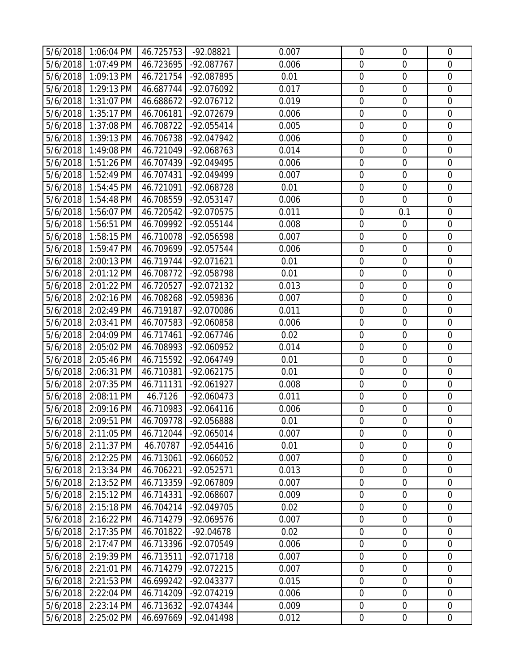|                      | 5/6/2018 1:06:04 PM      | 46.725753              | $-92.08821$                | 0.007          | $\mathbf 0$                | $\mathbf 0$                | $\mathbf 0$                   |
|----------------------|--------------------------|------------------------|----------------------------|----------------|----------------------------|----------------------------|-------------------------------|
|                      | 5/6/2018 1:07:49 PM      | 46.723695              | -92.087767                 | 0.006          | $\mathbf 0$                | $\overline{0}$             | $\mathbf 0$                   |
| 5/6/2018             | 1:09:13 PM               | 46.721754              | -92.087895                 | 0.01           | $\boldsymbol{0}$           | $\mathbf 0$                | $\mathbf 0$                   |
|                      | 5/6/2018 1:29:13 PM      | 46.687744              | -92.076092                 | 0.017          | $\mathbf 0$                | $\overline{0}$             | $\overline{0}$                |
|                      | 5/6/2018 1:31:07 PM      | 46.688672              | -92.076712                 | 0.019          | $\boldsymbol{0}$           | $\boldsymbol{0}$           | $\overline{0}$                |
|                      | 5/6/2018 1:35:17 PM      | 46.706181              | -92.072679                 | 0.006          | $\mathbf 0$                | $\mathbf 0$                | $\overline{0}$                |
|                      | 5/6/2018 1:37:08 PM      | 46.708722              | -92.055414                 | 0.005          | $\mathbf 0$                | $\mathbf 0$                | $\mathbf 0$                   |
| 5/6/2018             | 1:39:13 PM               | 46.706738              | -92.047942                 | 0.006          | $\boldsymbol{0}$           | $\mathbf 0$                | $\mathbf 0$                   |
|                      | 5/6/2018 1:49:08 PM      | 46.721049              | -92.068763                 | 0.014          | $\mathbf 0$                | $\overline{0}$             | $\overline{0}$                |
|                      | 5/6/2018 1:51:26 PM      | 46.707439              | -92.049495                 | 0.006          | $\boldsymbol{0}$           | $\mathbf 0$                | $\mathbf 0$                   |
|                      | 5/6/2018 1:52:49 PM      | 46.707431              | -92.049499                 | 0.007          | $\mathbf 0$                | $\mathbf 0$                | $\mathbf 0$                   |
| 5/6/2018             | 1:54:45 PM               | 46.721091              | -92.068728                 | 0.01           | $\boldsymbol{0}$           | $\boldsymbol{0}$           | $\overline{0}$                |
|                      | 5/6/2018 1:54:48 PM      | 46.708559              | $-92.053147$               | 0.006          | $\mathbf 0$                | $\mathbf 0$                | $\mathbf 0$                   |
|                      | 5/6/2018 1:56:07 PM      | 46.720542              | -92.070575                 | 0.011          | $\mathbf 0$                | 0.1                        | $\mathbf 0$                   |
|                      | 5/6/2018 1:56:51 PM      | 46.709992              | -92.055144                 | 0.008          | $\boldsymbol{0}$           | $\mathbf 0$                | $\overline{0}$                |
|                      | 5/6/2018 1:58:15 PM      | 46.710078              | -92.056598                 | 0.007          | $\mathbf 0$                | $\mathbf 0$                | $\mathbf 0$                   |
| 5/6/2018             | 1:59:47 PM               | 46.709699              | -92.057544                 | 0.006          | $\boldsymbol{0}$           | $\boldsymbol{0}$           | $\mathbf 0$                   |
|                      | 5/6/2018 2:00:13 PM      | 46.719744              | -92.071621                 | 0.01           | $\mathbf 0$                | $\overline{0}$             | $\overline{0}$                |
|                      | 5/6/2018 2:01:12 PM      | 46.708772              | -92.058798                 | 0.01           | $\boldsymbol{0}$           | $\boldsymbol{0}$           | $\mathbf 0$                   |
| 5/6/2018             | 2:01:22 PM               | 46.720527              | -92.072132                 | 0.013          | $\mathbf 0$                | $\mathbf 0$                | $\mathbf 0$                   |
| 5/6/2018             | 2:02:16 PM               | 46.708268              | -92.059836                 | 0.007          | $\mathbf 0$                | $\overline{0}$             | $\mathbf 0$                   |
| 5/6/2018             | 2:02:49 PM               | 46.719187              | -92.070086                 | 0.011          | $\boldsymbol{0}$           | $\mathbf 0$                | $\mathbf 0$                   |
|                      | 5/6/2018 2:03:41 PM      | 46.707583              | -92.060858                 | 0.006          | $\mathbf 0$                | $\overline{0}$             | $\overline{0}$                |
|                      | 5/6/2018 2:04:09 PM      | 46.717461              | -92.067746                 | 0.02           | $\boldsymbol{0}$           | $\boldsymbol{0}$           | $\overline{0}$                |
| 5/6/2018             | 2:05:02 PM               | 46.708993              | -92.060952                 | 0.014          | $\mathbf 0$                | $\mathbf 0$                | $\overline{0}$                |
| 5/6/2018             | 2:05:46 PM               | 46.715592              | -92.064749                 | 0.01           | $\mathbf 0$                | $\mathbf 0$                | $\mathbf 0$                   |
| 5/6/2018             | 2:06:31 PM               | 46.710381              | -92.062175                 | 0.01           | $\boldsymbol{0}$           | $\mathbf 0$                | $\mathbf 0$                   |
| 5/6/2018             | 2:07:35 PM               | 46.711131              | -92.061927                 | 0.008          | $\mathbf 0$                | $\overline{0}$             | $\overline{0}$                |
| 5/6/2018             | 2:08:11 PM               | 46.7126                | -92.060473                 | 0.011          | $\boldsymbol{0}$           | $\mathbf 0$                | $\mathbf 0$                   |
|                      | 5/6/2018 2:09:16 PM      | 46.710983              | $-92.064116$               | 0.006          | $\boldsymbol{0}$           | $\boldsymbol{0}$           | $\mathbf 0$                   |
|                      | 5/6/2018 2:09:51 PM      | 46.709778              | -92.056888                 | 0.01           | $\mathbf 0$                | $\overline{0}$             | $\overline{0}$                |
|                      | 5/6/2018 2:11:05 PM      | 46.712044              | -92.065014                 | 0.007          | $\mathbf 0$                | $\mathbf 0$                | $\mathbf 0$                   |
| 5/6/2018             | 2:11:37 PM               | 46.70787               | $-92.054416$<br>-92.066052 | 0.01           | $\mathbf 0$                | $\mathbf 0$                | $\mathbf 0$                   |
| 5/6/2018<br>5/6/2018 | 2:12:25 PM<br>2:13:34 PM | 46.713061<br>46.706221 | $-92.052571$               | 0.007<br>0.013 | $\mathbf 0$<br>$\mathbf 0$ | $\mathbf 0$<br>$\mathbf 0$ | $\overline{0}$<br>$\mathbf 0$ |
| 5/6/2018             | 2:13:52 PM               | 46.713359              | -92.067809                 | 0.007          | $\boldsymbol{0}$           | $\boldsymbol{0}$           | $\mathbf 0$                   |
| 5/6/2018             | 2:15:12 PM               | 46.714331              | -92.068607                 | 0.009          | $\mathbf 0$                | $\mathbf 0$                | $\overline{0}$                |
| 5/6/2018             | 2:15:18 PM               | 46.704214              | -92.049705                 | 0.02           | $\boldsymbol{0}$           | $\boldsymbol{0}$           | $\overline{0}$                |
| 5/6/2018             | 2:16:22 PM               | 46.714279              | -92.069576                 | 0.007          | $\mathbf 0$                | $\mathbf 0$                | $\mathbf 0$                   |
| 5/6/2018             | 2:17:35 PM               | 46.701822              | $-92.04678$                | 0.02           | $\mathbf 0$                | $\mathbf 0$                | $\overline{0}$                |
| 5/6/2018             | 2:17:47 PM               | 46.713396              | -92.070549                 | 0.006          | $\mathbf 0$                | $\mathbf 0$                | $\overline{0}$                |
| 5/6/2018             | 2:19:39 PM               | 46.713511              | -92.071718                 | 0.007          | $\overline{0}$             | $\overline{0}$             | $\overline{0}$                |
| 5/6/2018             | 2:21:01 PM               | 46.714279              | -92.072215                 | 0.007          | $\boldsymbol{0}$           | $\boldsymbol{0}$           | $\overline{0}$                |
| 5/6/2018             | $2:21:53$ PM             | 46.699242              | -92.043377                 | 0.015          | $\mathbf 0$                | $\mathbf 0$                | $\mathbf 0$                   |
| 5/6/2018             | 2:22:04 PM               | 46.714209              | -92.074219                 | 0.006          | $\boldsymbol{0}$           | $\mathbf 0$                | $\overline{0}$                |
| 5/6/2018             | 2:23:14 PM               | 46.713632              | -92.074344                 | 0.009          | $\mathbf 0$                | $\mathbf 0$                | $\overline{0}$                |
| 5/6/2018             | 2:25:02 PM               | 46.697669              | -92.041498                 | 0.012          | $\mathbf 0$                | $\mathbf 0$                | $\overline{0}$                |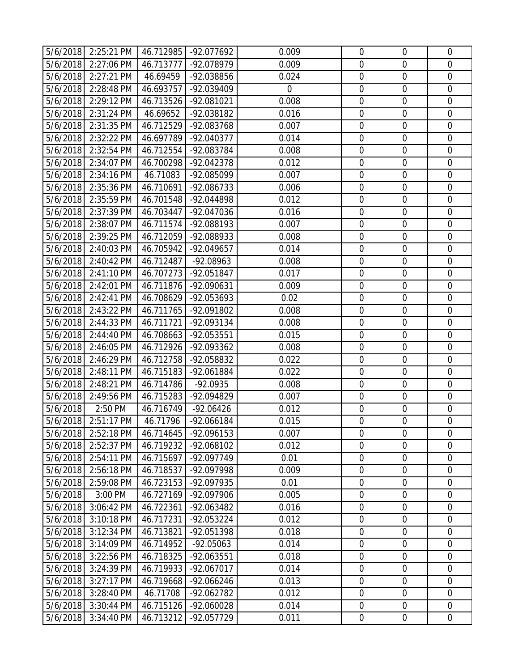|                      | 5/6/2018 2:25:21 PM      | 46.712985              | -92.077692               | 0.009          | $\mathbf 0$                     | $\mathbf 0$                     | $\mathbf 0$                |
|----------------------|--------------------------|------------------------|--------------------------|----------------|---------------------------------|---------------------------------|----------------------------|
| 5/6/2018             | 2:27:06 PM               | 46.713777              | -92.078979               | 0.009          | $\mathbf 0$                     | $\overline{0}$                  | $\mathbf 0$                |
| 5/6/2018             | 2:27:21 PM               | 46.69459               | -92.038856               | 0.024          | $\boldsymbol{0}$                | $\mathbf 0$                     | $\mathbf 0$                |
| 5/6/2018             | 2:28:48 PM               | 46.693757              | -92.039409               | $\overline{0}$ | $\mathbf 0$                     | $\overline{0}$                  | $\overline{0}$             |
| 5/6/2018             | 2:29:12 PM               | 46.713526              | -92.081021               | 0.008          | $\boldsymbol{0}$                | $\boldsymbol{0}$                | $\overline{0}$             |
| 5/6/2018             | 2:31:24 PM               | 46.69652               | -92.038182               | 0.016          | $\mathbf 0$                     | $\mathbf 0$                     | $\overline{0}$             |
| 5/6/2018             | 2:31:35 PM               | 46.712529              | -92.083768               | 0.007          | $\mathbf 0$                     | $\mathbf 0$                     | $\mathbf 0$                |
| 5/6/2018             | 2:32:22 PM               | 46.697789              | -92.040377               | 0.014          | $\boldsymbol{0}$                | $\mathbf 0$                     | $\mathbf 0$                |
| 5/6/2018             | 2:32:54 PM               | 46.712554              | -92.083784               | 0.008          | $\mathbf 0$                     | $\overline{0}$                  | $\overline{0}$             |
| 5/6/2018             | 2:34:07 PM               | 46.700298              | -92.042378               | 0.012          | $\boldsymbol{0}$                | $\mathbf 0$                     | $\mathbf 0$                |
|                      | 5/6/2018 2:34:16 PM      | 46.71083               | -92.085099               | 0.007          | $\mathbf 0$                     | $\mathbf 0$                     | $\mathbf 0$                |
| 5/6/2018             | 2:35:36 PM               | 46.710691              | -92.086733               | 0.006          | $\boldsymbol{0}$                | $\boldsymbol{0}$                | $\mathbf 0$                |
| 5/6/2018             | 2:35:59 PM               | 46.701548              | -92.044898               | 0.012          | $\mathbf 0$                     | $\mathbf 0$                     | $\mathbf 0$                |
| 5/6/2018             | 2:37:39 PM               | 46.703447              | -92.047036               | 0.016          | $\mathbf 0$                     | $\overline{0}$                  | $\mathbf 0$                |
| 5/6/2018             | 2:38:07 PM               | 46.711574              | -92.088193               | 0.007          | $\mathbf 0$                     | $\mathbf 0$                     | $\overline{0}$             |
|                      | 5/6/2018 2:39:25 PM      | 46.712059              | -92.088933               | 0.008          | $\mathbf 0$                     | $\mathbf 0$                     | $\mathbf 0$                |
| 5/6/2018             | 2:40:03 PM               | 46.705942              | -92.049657               | 0.014          | $\boldsymbol{0}$                | $\boldsymbol{0}$                | $\mathbf 0$                |
| 5/6/2018             | 2:40:42 PM               | 46.712487              | -92.08963                | 0.008          | $\mathbf 0$                     | $\overline{0}$                  | $\mathbf 0$                |
|                      | 5/6/2018 2:41:10 PM      | 46.707273              | -92.051847               | 0.017          | $\boldsymbol{0}$                | $\boldsymbol{0}$                | $\mathbf 0$                |
| 5/6/2018             | 2:42:01 PM               | 46.711876              | -92.090631               | 0.009          | $\mathbf 0$                     | $\mathbf 0$                     | $\mathbf 0$                |
| 5/6/2018             | $2:42:41$ PM             | 46.708629              | -92.053693               | 0.02           | $\mathbf 0$                     | $\overline{0}$                  | $\mathbf 0$                |
| 5/6/2018             | 2:43:22 PM               | 46.711765              | -92.091802               | 0.008          | $\boldsymbol{0}$                | $\mathbf 0$                     | $\mathbf 0$                |
| 5/6/2018             | 2:44:33 PM               | 46.711721              | -92.093134               | 0.008          | $\mathbf 0$                     | $\overline{0}$                  | $\overline{0}$             |
| 5/6/2018             | 2:44:40 PM               | 46.708663              | -92.053551               | 0.015          | $\boldsymbol{0}$                | $\boldsymbol{0}$                | $\overline{0}$             |
| 5/6/2018             | 2:46:05 PM               | 46.712926              | -92.093362               | 0.008          | $\mathbf 0$                     | $\mathbf 0$                     | $\overline{0}$             |
| 5/6/2018             | 2:46:29 PM               | 46.712758              | -92.058832               | 0.022          | $\boldsymbol{0}$                | $\mathbf 0$                     | $\mathbf 0$                |
| 5/6/2018             | 2:48:11 PM               | 46.715183              | -92.061884               | 0.022          | $\boldsymbol{0}$                | $\mathbf 0$                     | $\mathbf 0$                |
| 5/6/2018             | 2:48:21 PM               | 46.714786              | $-92.0935$               | 0.008          | $\mathbf 0$                     | $\overline{0}$                  | $\overline{0}$             |
| 5/6/2018             | 2:49:56 PM               | 46.715283              | -92.094829               | 0.007          | $\boldsymbol{0}$                | $\mathbf 0$                     | $\mathbf 0$                |
| 5/6/2018             | 2:50 PM                  | 46.716749              | $-92.06426$              | 0.012          | $\mathbf 0$                     | $\boldsymbol{0}$                | $\mathbf 0$                |
|                      | 5/6/2018 2:51:17 PM      | 46.71796               | -92.066184               | 0.015          | $\mathbf 0$                     | $\overline{0}$                  | $\overline{0}$             |
|                      | 5/6/2018 2:52:18 PM      | 46.714645              | -92.096153               | 0.007          | $\mathbf 0$                     | $\mathbf 0$                     | $\mathbf 0$                |
| 5/6/2018             | 2:52:37 PM               | 46.719232              | -92.068102               | 0.012          | $\boldsymbol{0}$                | $\mathbf 0$                     | $\mathbf 0$                |
| 5/6/2018             | 2:54:11 PM               | 46.715697              | -92.097749               | 0.01           | $\mathbf 0$                     | $\mathbf 0$                     | $\overline{0}$             |
| 5/6/2018<br>5/6/2018 | 2:56:18 PM<br>2:59:08 PM | 46.718537              | -92.097998<br>-92.097935 | 0.009<br>0.01  | $\mathbf 0$<br>$\boldsymbol{0}$ | $\mathbf 0$<br>$\boldsymbol{0}$ | $\mathbf 0$<br>$\mathbf 0$ |
| 5/6/2018             | 3:00 PM                  | 46.723153<br>46.727169 | -92.097906               | 0.005          | $\mathbf 0$                     | $\mathbf 0$                     | $\overline{0}$             |
| 5/6/2018             | 3:06:42 PM               | 46.722361              | -92.063482               | 0.016          | $\boldsymbol{0}$                | $\boldsymbol{0}$                | $\overline{0}$             |
| 5/6/2018             | 3:10:18 PM               | 46.717231              | -92.053224               | 0.012          | $\mathbf 0$                     | $\mathbf 0$                     | $\mathbf 0$                |
| 5/6/2018             | 3:12:34 PM               | 46.713821              | -92.051398               | 0.018          | $\mathbf 0$                     | $\mathbf 0$                     | $\overline{0}$             |
| 5/6/2018             | 3:14:09 PM               | 46.714952              | $-92.05063$              | 0.014          | $\mathbf 0$                     | $\mathbf 0$                     | $\mathbf 0$                |
| 5/6/2018             | 3:22:56 PM               | 46.718325              | -92.063551               | 0.018          | $\overline{0}$                  | $\mathbf 0$                     | $\overline{0}$             |
| 5/6/2018             | 3:24:39 PM               | 46.719933              | -92.067017               | 0.014          | $\boldsymbol{0}$                | $\boldsymbol{0}$                | $\overline{0}$             |
| 5/6/2018             | 3:27:17 PM               | 46.719668              | -92.066246               | 0.013          | $\mathbf 0$                     | $\mathbf 0$                     | $\mathbf 0$                |
| 5/6/2018             | 3:28:40 PM               | 46.71708               | -92.062782               | 0.012          | $\boldsymbol{0}$                | $\mathbf 0$                     | $\mathbf 0$                |
| 5/6/2018             | 3:30:44 PM               | 46.715126              | -92.060028               | 0.014          | $\mathbf 0$                     | $\boldsymbol{0}$                | $\overline{0}$             |
| 5/6/2018             | 3:34:40 PM               | 46.713212              | -92.057729               | 0.011          | $\mathbf 0$                     | $\mathbf 0$                     | $\overline{0}$             |
|                      |                          |                        |                          |                |                                 |                                 |                            |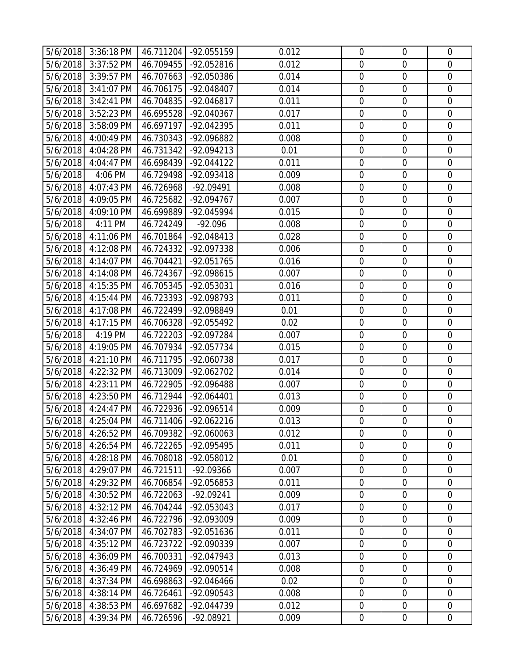|          | 5/6/2018 3:36:18 PM | 46.711204 | -92.055159           | 0.012 | $\mathbf 0$      | $\mathbf 0$      | $\overline{0}$   |
|----------|---------------------|-----------|----------------------|-------|------------------|------------------|------------------|
| 5/6/2018 | 3:37:52 PM          | 46.709455 | -92.052816           | 0.012 | $\mathbf 0$      | $\overline{0}$   | $\overline{0}$   |
| 5/6/2018 | 3:39:57 PM          | 46.707663 | -92.050386           | 0.014 | $\mathbf 0$      | $\mathbf 0$      | $\mathbf 0$      |
| 5/6/2018 | 3:41:07 PM          | 46.706175 | -92.048407           | 0.014 | $\mathbf 0$      | $\overline{0}$   | $\mathbf 0$      |
| 5/6/2018 | 3:42:41 PM          | 46.704835 | $-92.046817$         | 0.011 | $\mathbf 0$      | $\overline{0}$   | $\overline{0}$   |
| 5/6/2018 | 3:52:23 PM          | 46.695528 | -92.040367           | 0.017 | $\mathbf 0$      | $\mathbf 0$      | $\mathbf 0$      |
| 5/6/2018 | 3:58:09 PM          | 46.697197 | -92.042395           | 0.011 | $\boldsymbol{0}$ | $\boldsymbol{0}$ | $\mathbf 0$      |
| 5/6/2018 | 4:00:49 PM          | 46.730343 | -92.096882           | 0.008 | $\mathbf 0$      | $\mathbf 0$      | $\mathbf 0$      |
| 5/6/2018 | 4:04:28 PM          | 46.731342 | $-92.094213$         | 0.01  | $\overline{0}$   | $\overline{0}$   | $\overline{0}$   |
| 5/6/2018 | 4:04:47 PM          | 46.698439 | $-92.044122$         | 0.011 | $\mathbf 0$      | $\mathbf 0$      | $\mathbf 0$      |
| 5/6/2018 | 4:06 PM             | 46.729498 | -92.093418           | 0.009 | $\overline{0}$   | $\overline{0}$   | $\overline{0}$   |
| 5/6/2018 | 4:07:43 PM          | 46.726968 | -92.09491            | 0.008 | $\boldsymbol{0}$ | $\boldsymbol{0}$ | $\boldsymbol{0}$ |
| 5/6/2018 | 4:09:05 PM          | 46.725682 | -92.094767           | 0.007 | $\mathbf 0$      | $\mathbf 0$      | $\mathbf 0$      |
| 5/6/2018 | 4:09:10 PM          | 46.699889 | -92.045994           | 0.015 | $\mathbf 0$      | $\overline{0}$   | $\overline{0}$   |
| 5/6/2018 | 4:11 PM             | 46.724249 | $-92.096$            | 0.008 | $\mathbf 0$      | $\mathbf 0$      | $\mathbf 0$      |
| 5/6/2018 | 4:11:06 PM          | 46.701864 | -92.048413           | 0.028 | $\mathbf 0$      | $\mathbf 0$      | $\mathbf 0$      |
| 5/6/2018 | 4:12:08 PM          | 46.724332 | -92.097338           | 0.006 | $\boldsymbol{0}$ | $\mathbf 0$      | $\mathbf 0$      |
| 5/6/2018 | 4:14:07 PM          | 46.704421 | -92.051765           | 0.016 | $\mathbf 0$      | $\overline{0}$   | $\overline{0}$   |
| 5/6/2018 | 4:14:08 PM          | 46.724367 | -92.098615           | 0.007 | $\boldsymbol{0}$ | $\boldsymbol{0}$ | $\mathbf 0$      |
| 5/6/2018 | 4:15:35 PM          | 46.705345 | -92.053031           | 0.016 | $\mathbf 0$      | $\mathbf 0$      | $\overline{0}$   |
| 5/6/2018 | 4:15:44 PM          | 46.723393 | -92.098793           | 0.011 | $\mathbf 0$      | $\overline{0}$   | $\overline{0}$   |
| 5/6/2018 | 4:17:08 PM          | 46.722499 | -92.098849           | 0.01  | $\mathbf 0$      | $\mathbf 0$      | $\mathbf 0$      |
| 5/6/2018 | 4:17:15 PM          | 46.706328 | -92.055492           | 0.02  | $\mathbf 0$      | $\mathbf 0$      | $\mathbf 0$      |
| 5/6/2018 | 4:19 PM             | 46.722203 | -92.097284           | 0.007 | $\mathbf 0$      | $\overline{0}$   | $\overline{0}$   |
| 5/6/2018 | 4:19:05 PM          | 46.707934 | -92.057734           | 0.015 | $\mathbf 0$      | $\mathbf 0$      | $\mathbf 0$      |
| 5/6/2018 | 4:21:10 PM          | 46.711795 | -92.060738           | 0.017 | $\boldsymbol{0}$ | $\mathbf 0$      | $\mathbf 0$      |
| 5/6/2018 | 4:22:32 PM          | 46.713009 | -92.062702           | 0.014 | $\mathbf 0$      | $\mathbf 0$      | $\mathbf 0$      |
| 5/6/2018 | 4:23:11 PM          | 46.722905 | -92.096488           | 0.007 | $\overline{0}$   | $\overline{0}$   | 0                |
| 5/6/2018 | 4:23:50 PM          | 46.712944 | -92.064401           | 0.013 | $\boldsymbol{0}$ | $\mathbf 0$      | $\mathbf 0$      |
| 5/6/2018 | 4:24:47 PM          | 46.722936 | -92.096514           | 0.009 | $\mathbf 0$      | $\overline{0}$   | $\overline{0}$   |
| 5/6/2018 | 4:25:04 PM          |           | 46.711406 -92.062216 | 0.013 | $\mathbf 0$      | $\mathbf 0$      | $\mathbf 0$      |
| 5/6/2018 | 4:26:52 PM          | 46.709382 | -92.060063           | 0.012 | $\mathbf 0$      | $\mathbf 0$      | $\mathbf 0$      |
| 5/6/2018 | 4:26:54 PM          | 46.722265 | -92.095495           | 0.011 | $\mathbf 0$      | $\mathbf 0$      | $\mathbf 0$      |
| 5/6/2018 | 4:28:18 PM          | 46.708018 | -92.058012           | 0.01  | $\mathbf 0$      | $\boldsymbol{0}$ | $\mathbf 0$      |
| 5/6/2018 | 4:29:07 PM          | 46.721511 | -92.09366            | 0.007 | $\mathbf 0$      | $\mathbf 0$      | 0                |
| 5/6/2018 | 4:29:32 PM          | 46.706854 | -92.056853           | 0.011 | $\mathbf 0$      | $\mathbf 0$      | 0                |
| 5/6/2018 | 4:30:52 PM          | 46.722063 | $-92.09241$          | 0.009 | $\mathbf 0$      | $\mathbf 0$      | $\mathbf 0$      |
| 5/6/2018 | 4:32:12 PM          | 46.704244 | -92.053043           | 0.017 | $\boldsymbol{0}$ | $\boldsymbol{0}$ | $\mathbf 0$      |
| 5/6/2018 | 4:32:46 PM          | 46.722796 | -92.093009           | 0.009 | $\mathbf 0$      | $\mathbf 0$      | $\mathbf 0$      |
| 5/6/2018 | 4:34:07 PM          | 46.702783 | -92.051636           | 0.011 | $\mathbf 0$      | $\overline{0}$   | 0                |
| 5/6/2018 | 4:35:12 PM          | 46.723722 | -92.090339           | 0.007 | $\mathbf 0$      | $\mathbf 0$      | $\overline{0}$   |
| 5/6/2018 | 4:36:09 PM          | 46.700331 | -92.047943           | 0.013 | $\mathbf 0$      | $\mathbf 0$      | $\mathbf 0$      |
| 5/6/2018 | 4:36:49 PM          | 46.724969 | -92.090514           | 0.008 | $\boldsymbol{0}$ | $\overline{0}$   | $\mathbf 0$      |
| 5/6/2018 | 4:37:34 PM          | 46.698863 | -92.046466           | 0.02  | $\mathbf 0$      | $\boldsymbol{0}$ | $\mathbf 0$      |
| 5/6/2018 | 4:38:14 PM          | 46.726461 | -92.090543           | 0.008 | $\boldsymbol{0}$ | $\boldsymbol{0}$ | $\mathbf 0$      |
| 5/6/2018 | 4:38:53 PM          | 46.697682 | -92.044739           | 0.012 | $\mathbf 0$      | $\mathbf 0$      | $\mathbf 0$      |
| 5/6/2018 | 4:39:34 PM          | 46.726596 | -92.08921            | 0.009 | $\boldsymbol{0}$ | $\boldsymbol{0}$ | 0                |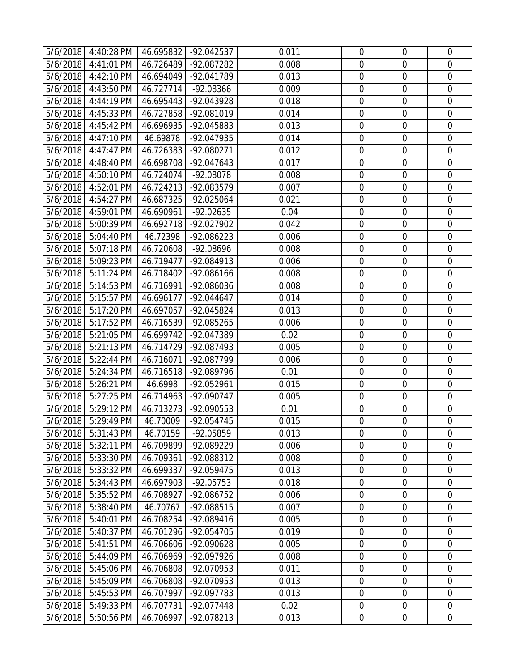|          | 5/6/2018 4:40:28 PM | 46.695832 | -92.042537   | 0.011 | $\mathbf 0$      | $\mathbf 0$      | $\overline{0}$ |
|----------|---------------------|-----------|--------------|-------|------------------|------------------|----------------|
| 5/6/2018 | 4:41:01 PM          | 46.726489 | -92.087282   | 0.008 | $\mathbf 0$      | $\overline{0}$   | $\mathbf 0$    |
| 5/6/2018 | 4:42:10 PM          | 46.694049 | -92.041789   | 0.013 | $\boldsymbol{0}$ | $\mathbf 0$      | $\overline{0}$ |
| 5/6/2018 | 4:43:50 PM          | 46.727714 | -92.08366    | 0.009 | $\mathbf 0$      | $\mathbf 0$      | $\mathbf 0$    |
| 5/6/2018 | 4:44:19 PM          | 46.695443 | -92.043928   | 0.018 | $\overline{0}$   | $\overline{0}$   | $\mathbf 0$    |
| 5/6/2018 | 4:45:33 PM          | 46.727858 | -92.081019   | 0.014 | $\mathbf 0$      | $\mathbf 0$      | $\overline{0}$ |
| 5/6/2018 | 4:45:42 PM          | 46.696935 | -92.045883   | 0.013 | $\boldsymbol{0}$ | $\boldsymbol{0}$ | $\mathbf 0$    |
| 5/6/2018 | 4:47:10 PM          | 46.69878  | -92.047935   | 0.014 | $\mathbf 0$      | $\mathbf 0$      | $\mathbf 0$    |
| 5/6/2018 | 4:47:47 PM          | 46.726383 | -92.080271   | 0.012 | $\mathbf 0$      | $\overline{0}$   | $\overline{0}$ |
| 5/6/2018 | 4:48:40 PM          | 46.698708 | -92.047643   | 0.017 | $\boldsymbol{0}$ | $\mathbf 0$      | $\mathbf 0$    |
|          | 5/6/2018 4:50:10 PM | 46.724074 | -92.08078    | 0.008 | $\mathbf 0$      | $\overline{0}$   | $\overline{0}$ |
| 5/6/2018 | 4:52:01 PM          | 46.724213 | -92.083579   | 0.007 | $\boldsymbol{0}$ | $\boldsymbol{0}$ | $\mathbf 0$    |
| 5/6/2018 | 4:54:27 PM          | 46.687325 | -92.025064   | 0.021 | $\mathbf 0$      | $\mathbf 0$      | $\mathbf 0$    |
| 5/6/2018 | 4:59:01 PM          | 46.690961 | $-92.02635$  | 0.04  | $\mathbf 0$      | $\overline{0}$   | $\mathbf 0$    |
| 5/6/2018 | 5:00:39 PM          | 46.692718 | -92.027902   | 0.042 | $\boldsymbol{0}$ | $\mathbf 0$      | $\mathbf 0$    |
| 5/6/2018 | 5:04:40 PM          | 46.72398  | -92.086223   | 0.006 | $\mathbf 0$      | $\mathbf 0$      | $\mathbf 0$    |
| 5/6/2018 | 5:07:18 PM          | 46.720608 | -92.08696    | 0.008 | $\boldsymbol{0}$ | $\mathbf 0$      | $\mathbf 0$    |
| 5/6/2018 | 5:09:23 PM          | 46.719477 | -92.084913   | 0.006 | $\mathbf 0$      | $\overline{0}$   | $\mathbf 0$    |
| 5/6/2018 | 5:11:24 PM          | 46.718402 | -92.086166   | 0.008 | $\boldsymbol{0}$ | $\boldsymbol{0}$ | $\overline{0}$ |
| 5/6/2018 | 5:14:53 PM          | 46.716991 | -92.086036   | 0.008 | $\mathbf 0$      | $\mathbf 0$      | $\overline{0}$ |
| 5/6/2018 | 5:15:57 PM          | 46.696177 | $-92.044647$ | 0.014 | $\boldsymbol{0}$ | $\overline{0}$   | $\mathbf 0$    |
| 5/6/2018 | 5:17:20 PM          | 46.697057 | -92.045824   | 0.013 | $\boldsymbol{0}$ | $\mathbf 0$      | $\mathbf 0$    |
| 5/6/2018 | 5:17:52 PM          | 46.716539 | -92.085265   | 0.006 | $\mathbf 0$      | $\mathbf 0$      | $\mathbf 0$    |
| 5/6/2018 | 5:21:05 PM          | 46.699742 | -92.047389   | 0.02  | $\mathbf 0$      | $\overline{0}$   | $\mathbf 0$    |
| 5/6/2018 | 5:21:13 PM          | 46.714729 | -92.087493   | 0.005 | $\mathbf 0$      | $\mathbf 0$      | $\overline{0}$ |
| 5/6/2018 | 5:22:44 PM          | 46.716071 | -92.087799   | 0.006 | $\boldsymbol{0}$ | $\boldsymbol{0}$ | $\mathbf 0$    |
| 5/6/2018 | 5:24:34 PM          | 46.716518 | -92.089796   | 0.01  | $\mathbf 0$      | $\mathbf 0$      | $\mathbf 0$    |
| 5/6/2018 | 5:26:21 PM          | 46.6998   | -92.052961   | 0.015 | $\mathbf 0$      | $\overline{0}$   | $\overline{0}$ |
| 5/6/2018 | 5:27:25 PM          | 46.714963 | -92.090747   | 0.005 | $\mathbf 0$      | $\mathbf 0$      | $\overline{0}$ |
| 5/6/2018 | 5:29:12 PM          | 46.713273 | -92.090553   | 0.01  | $\mathbf 0$      | $\overline{0}$   | $\mathbf 0$    |
|          | 5/6/2018 5:29:49 PM | 46.70009  | -92.054745   | 0.015 | $\mathbf 0$      | $\mathbf 0$      | $\mathbf 0$    |
|          | 5/6/2018 5:31:43 PM | 46.70159  | -92.05859    | 0.013 | $\mathbf 0$      | $\mathbf 0$      | $\mathbf 0$    |
| 5/6/2018 | 5:32:11 PM          | 46.709899 | -92.089229   | 0.006 | $\mathbf 0$      | $\boldsymbol{0}$ | $\mathbf 0$    |
| 5/6/2018 | 5:33:30 PM          | 46.709361 | -92.088312   | 0.008 | $\mathbf 0$      | $\boldsymbol{0}$ | $\overline{0}$ |
| 5/6/2018 | 5:33:32 PM          | 46.699337 | -92.059475   | 0.013 | $\mathbf 0$      | $\mathbf 0$      | $\overline{0}$ |
| 5/6/2018 | 5:34:43 PM          | 46.697903 | $-92.05753$  | 0.018 | $\boldsymbol{0}$ | $\mathbf 0$      | $\mathbf 0$    |
| 5/6/2018 | 5:35:52 PM          | 46.708927 | -92.086752   | 0.006 | $\mathbf 0$      | $\mathbf 0$      | $\mathbf 0$    |
| 5/6/2018 | 5:38:40 PM          | 46.70767  | -92.088515   | 0.007 | $\boldsymbol{0}$ | $\boldsymbol{0}$ | $\mathbf 0$    |
| 5/6/2018 | 5:40:01 PM          | 46.708254 | -92.089416   | 0.005 | $\mathbf 0$      | $\mathbf 0$      | $\mathbf 0$    |
| 5/6/2018 | 5:40:37 PM          | 46.701296 | -92.054705   | 0.019 | $\mathbf 0$      | $\overline{0}$   | $\mathbf 0$    |
| 5/6/2018 | 5:41:51 PM          | 46.706606 | -92.090628   | 0.005 | $\mathbf 0$      | $\mathbf 0$      | $\overline{0}$ |
| 5/6/2018 | 5:44:09 PM          | 46.706969 | -92.097926   | 0.008 | $\mathbf 0$      | $\boldsymbol{0}$ | $\overline{0}$ |
| 5/6/2018 | 5:45:06 PM          | 46.706808 | -92.070953   | 0.011 | $\boldsymbol{0}$ | $\overline{0}$   | $\mathbf 0$    |
| 5/6/2018 | 5:45:09 PM          | 46.706808 | -92.070953   | 0.013 | $\mathbf 0$      | $\boldsymbol{0}$ | $\mathbf 0$    |
| 5/6/2018 | 5:45:53 PM          | 46.707997 | -92.097783   | 0.013 | $\boldsymbol{0}$ | $\boldsymbol{0}$ | $\mathbf 0$    |
| 5/6/2018 | 5:49:33 PM          | 46.707731 | -92.077448   | 0.02  | $\mathbf 0$      | $\mathbf 0$      | $\overline{0}$ |
| 5/6/2018 | 5:50:56 PM          | 46.706997 | -92.078213   | 0.013 | $\boldsymbol{0}$ | $\boldsymbol{0}$ | $\mathbf 0$    |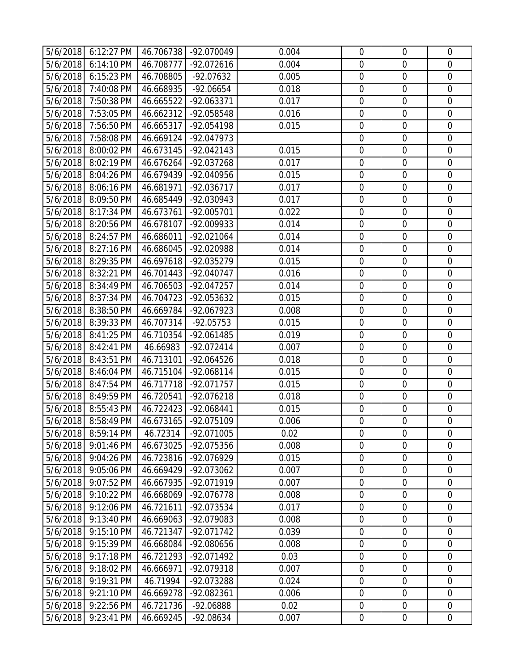|          | 5/6/2018 6:12:27 PM | 46.706738 | -92.070049   | 0.004 | $\mathbf 0$      | $\mathbf 0$      | $\mathbf 0$    |
|----------|---------------------|-----------|--------------|-------|------------------|------------------|----------------|
|          | 5/6/2018 6:14:10 PM | 46.708777 | -92.072616   | 0.004 | $\mathbf 0$      | $\overline{0}$   | $\mathbf 0$    |
| 5/6/2018 | 6:15:23 PM          | 46.708805 | -92.07632    | 0.005 | $\boldsymbol{0}$ | $\mathbf 0$      | $\mathbf 0$    |
|          | 5/6/2018 7:40:08 PM | 46.668935 | $-92.06654$  | 0.018 | $\mathbf 0$      | $\overline{0}$   | $\overline{0}$ |
|          | 5/6/2018 7:50:38 PM | 46.665522 | -92.063371   | 0.017 | $\boldsymbol{0}$ | $\boldsymbol{0}$ | $\overline{0}$ |
|          | 5/6/2018 7:53:05 PM | 46.662312 | -92.058548   | 0.016 | $\mathbf 0$      | $\mathbf 0$      | $\overline{0}$ |
|          | 5/6/2018 7:56:50 PM | 46.665317 | -92.054198   | 0.015 | $\mathbf 0$      | $\mathbf 0$      | $\mathbf 0$    |
| 5/6/2018 | 7:58:08 PM          | 46.669124 | -92.047973   |       | $\boldsymbol{0}$ | $\mathbf 0$      | $\overline{0}$ |
|          | 5/6/2018 8:00:02 PM | 46.673145 | $-92.042143$ | 0.015 | $\mathbf 0$      | $\overline{0}$   | $\overline{0}$ |
| 5/6/2018 | 8:02:19 PM          | 46.676264 | -92.037268   | 0.017 | $\boldsymbol{0}$ | $\mathbf 0$      | $\mathbf 0$    |
|          | 5/6/2018 8:04:26 PM | 46.679439 | -92.040956   | 0.015 | $\mathbf 0$      | $\boldsymbol{0}$ | $\mathbf 0$    |
| 5/6/2018 | 8:06:16 PM          | 46.681971 | -92.036717   | 0.017 | $\boldsymbol{0}$ | $\boldsymbol{0}$ | $\overline{0}$ |
| 5/6/2018 | 8:09:50 PM          | 46.685449 | -92.030943   | 0.017 | $\mathbf 0$      | $\mathbf 0$      | $\mathbf 0$    |
|          | 5/6/2018 8:17:34 PM | 46.673761 | -92.005701   | 0.022 | $\mathbf 0$      | $\overline{0}$   | $\mathbf 0$    |
| 5/6/2018 | 8:20:56 PM          | 46.678107 | -92.009933   | 0.014 | $\mathbf 0$      | $\mathbf 0$      | $\overline{0}$ |
|          | 5/6/2018 8:24:57 PM | 46.686011 | -92.021064   | 0.014 | $\mathbf 0$      | $\mathbf 0$      | $\mathbf 0$    |
| 5/6/2018 | 8:27:16 PM          | 46.686045 | -92.020988   | 0.014 | $\boldsymbol{0}$ | $\boldsymbol{0}$ | $\mathbf 0$    |
| 5/6/2018 | 8:29:35 PM          | 46.697618 | -92.035279   | 0.015 | $\mathbf 0$      | $\overline{0}$   | $\overline{0}$ |
|          | 5/6/2018 8:32:21 PM | 46.701443 | -92.040747   | 0.016 | $\boldsymbol{0}$ | $\boldsymbol{0}$ | $\mathbf 0$    |
| 5/6/2018 | 8:34:49 PM          | 46.706503 | -92.047257   | 0.014 | $\mathbf 0$      | $\mathbf 0$      | $\mathbf 0$    |
|          | 5/6/2018 8:37:34 PM | 46.704723 | -92.053632   | 0.015 | $\mathbf 0$      | $\overline{0}$   | $\mathbf 0$    |
| 5/6/2018 | 8:38:50 PM          | 46.669784 | -92.067923   | 0.008 | $\boldsymbol{0}$ | $\mathbf 0$      | $\mathbf 0$    |
| 5/6/2018 | 8:39:33 PM          | 46.707314 | $-92.05753$  | 0.015 | $\mathbf 0$      | $\overline{0}$   | $\overline{0}$ |
|          | 5/6/2018 8:41:25 PM | 46.710354 | -92.061485   | 0.019 | $\boldsymbol{0}$ | $\boldsymbol{0}$ | $\overline{0}$ |
| 5/6/2018 | 8:42:41 PM          | 46.66983  | -92.072414   | 0.007 | $\mathbf 0$      | $\mathbf 0$      | $\overline{0}$ |
| 5/6/2018 | 8:43:51 PM          | 46.713101 | -92.064526   | 0.018 | $\mathbf 0$      | $\mathbf 0$      | $\overline{0}$ |
| 5/6/2018 | 8:46:04 PM          | 46.715104 | -92.068114   | 0.015 | $\boldsymbol{0}$ | $\mathbf 0$      | $\mathbf 0$    |
| 5/6/2018 | 8:47:54 PM          | 46.717718 | -92.071757   | 0.015 | $\mathbf 0$      | $\overline{0}$   | $\overline{0}$ |
| 5/6/2018 | 8:49:59 PM          | 46.720541 | -92.076218   | 0.018 | $\boldsymbol{0}$ | $\mathbf 0$      | $\mathbf 0$    |
|          | 5/6/2018 8:55:43 PM | 46.722423 | -92.068441   | 0.015 | $\boldsymbol{0}$ | $\boldsymbol{0}$ | $\mathbf 0$    |
|          | 5/6/2018 8:58:49 PM | 46.673165 | -92.075109   | 0.006 | $\mathbf 0$      | $\overline{0}$   | $\overline{0}$ |
|          | 5/6/2018 8:59:14 PM | 46.72314  | -92.071005   | 0.02  | $\mathbf 0$      | $\mathbf 0$      | $\mathbf 0$    |
| 5/6/2018 | 9:01:46 PM          | 46.673025 | -92.075356   | 0.008 | $\boldsymbol{0}$ | $\mathbf 0$      | $\mathbf 0$    |
| 5/6/2018 | 9:04:26 PM          | 46.723816 | -92.076929   | 0.015 | $\mathbf 0$      | $\mathbf 0$      | $\overline{0}$ |
| 5/6/2018 | 9:05:06 PM          | 46.669429 | -92.073062   | 0.007 | $\mathbf 0$      | $\mathbf 0$      | $\mathbf 0$    |
| 5/6/2018 | 9:07:52 PM          | 46.667935 | -92.071919   | 0.007 | $\boldsymbol{0}$ | $\boldsymbol{0}$ | $\mathbf 0$    |
| 5/6/2018 | 9:10:22 PM          | 46.668069 | -92.076778   | 0.008 | $\mathbf 0$      | $\mathbf 0$      | $\overline{0}$ |
| 5/6/2018 | 9:12:06 PM          | 46.721611 | -92.073534   | 0.017 | $\boldsymbol{0}$ | $\boldsymbol{0}$ | $\overline{0}$ |
| 5/6/2018 | 9:13:40 PM          | 46.669063 | -92.079083   | 0.008 | $\mathbf 0$      | $\mathbf 0$      | $\mathbf 0$    |
| 5/6/2018 | 9:15:10 PM          | 46.721347 | -92.071742   | 0.039 | $\mathbf 0$      | $\mathbf 0$      | $\overline{0}$ |
| 5/6/2018 | 9:15:39 PM          | 46.668084 | -92.080656   | 0.008 | $\mathbf 0$      | $\mathbf 0$      | $\overline{0}$ |
| 5/6/2018 | 9:17:18 PM          | 46.721293 | -92.071492   | 0.03  | $\overline{0}$   | $\overline{0}$   | $\overline{0}$ |
| 5/6/2018 | 9:18:02 PM          | 46.666971 | -92.079318   | 0.007 | $\boldsymbol{0}$ | $\boldsymbol{0}$ | $\overline{0}$ |
| 5/6/2018 | 9:19:31 PM          | 46.71994  | -92.073288   | 0.024 | $\mathbf 0$      | $\mathbf 0$      | $\mathbf 0$    |
| 5/6/2018 | 9:21:10 PM          | 46.669278 | -92.082361   | 0.006 | $\mathbf 0$      | $\mathbf 0$      | $\mathbf 0$    |
| 5/6/2018 | 9:22:56 PM          | 46.721736 | -92.06888    | 0.02  | $\mathbf 0$      | $\boldsymbol{0}$ | $\overline{0}$ |
| 5/6/2018 | 9:23:41 PM          | 46.669245 | -92.08634    | 0.007 | $\boldsymbol{0}$ | $\boldsymbol{0}$ | $\overline{0}$ |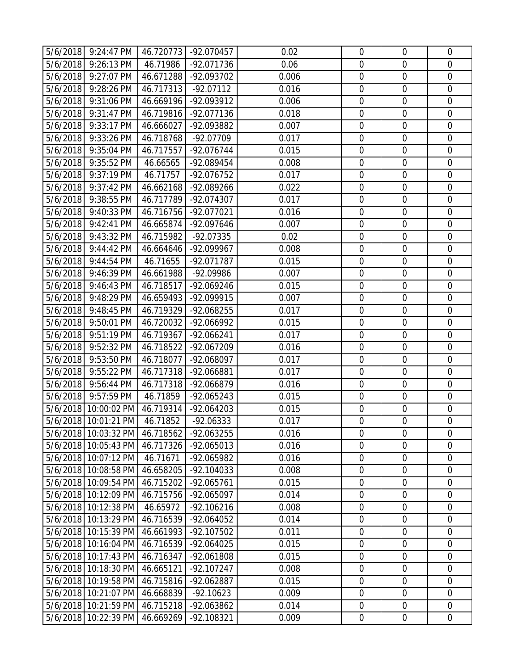|          | 5/6/2018 9:24:47 PM                          | 46.720773              | -92.070457               | 0.02           | $\mathbf 0$      | $\overline{0}$                  | $\mathbf 0$                |
|----------|----------------------------------------------|------------------------|--------------------------|----------------|------------------|---------------------------------|----------------------------|
| 5/6/2018 | 9:26:13 PM                                   | 46.71986               | -92.071736               | 0.06           | $\mathbf 0$      | $\mathbf 0$                     | $\mathbf 0$                |
| 5/6/2018 | 9:27:07 PM                                   | 46.671288              | -92.093702               | 0.006          | $\mathbf 0$      | $\mathbf 0$                     | $\mathbf 0$                |
| 5/6/2018 | 9:28:26 PM                                   | 46.717313              | $-92.07112$              | 0.016          | $\mathbf 0$      | $\overline{0}$                  | $\overline{0}$             |
| 5/6/2018 | 9:31:06 PM                                   | 46.669196              | -92.093912               | 0.006          | $\mathbf 0$      | $\boldsymbol{0}$                | $\mathbf 0$                |
| 5/6/2018 | 9:31:47 PM                                   | 46.719816              | -92.077136               | 0.018          | $\mathbf 0$      | $\mathbf 0$                     | $\overline{0}$             |
| 5/6/2018 | 9:33:17 PM                                   | 46.666027              | -92.093882               | 0.007          | $\mathbf 0$      | $\mathbf 0$                     | $\mathbf 0$                |
| 5/6/2018 | 9:33:26 PM                                   | 46.718768              | -92.07709                | 0.017          | $\mathbf 0$      | $\mathbf 0$                     | $\mathbf 0$                |
| 5/6/2018 | 9:35:04 PM                                   | 46.717557              | -92.076744               | 0.015          | $\mathbf 0$      | $\overline{0}$                  | $\overline{0}$             |
| 5/6/2018 | 9:35:52 PM                                   | 46.66565               | -92.089454               | 0.008          | $\mathbf 0$      | $\mathbf 0$                     | $\mathbf 0$                |
| 5/6/2018 | 9:37:19 PM                                   | 46.71757               | -92.076752               | 0.017          | $\mathbf 0$      | $\overline{0}$                  | $\mathbf 0$                |
| 5/6/2018 | 9:37:42 PM                                   | 46.662168              | -92.089266               | 0.022          | $\boldsymbol{0}$ | $\boldsymbol{0}$                | $\mathbf 0$                |
| 5/6/2018 | 9:38:55 PM                                   | 46.717789              | -92.074307               | 0.017          | $\mathbf 0$      | $\mathbf 0$                     | $\mathbf 0$                |
| 5/6/2018 | 9:40:33 PM                                   | 46.716756              | -92.077021               | 0.016          | $\mathbf 0$      | $\mathbf 0$                     | $\mathbf 0$                |
| 5/6/2018 | 9:42:41 PM                                   | 46.665874              | -92.097646               | 0.007          | $\mathbf 0$      | $\mathbf 0$                     | $\mathbf 0$                |
| 5/6/2018 | 9:43:32 PM                                   | 46.715982              | -92.07335                | 0.02           | $\mathbf 0$      | $\mathbf 0$                     | $\mathbf 0$                |
| 5/6/2018 | 9:44:42 PM                                   | 46.664646              | -92.099967               | 0.008          | $\boldsymbol{0}$ | $\boldsymbol{0}$                | $\mathbf 0$                |
| 5/6/2018 | 9:44:54 PM                                   | 46.71655               | -92.071787               | 0.015          | $\mathbf 0$      | $\overline{0}$                  | $\mathbf 0$                |
| 5/6/2018 | 9:46:39 PM                                   | 46.661988              | -92.09986                | 0.007          | $\mathbf 0$      | $\boldsymbol{0}$                | $\mathbf 0$                |
| 5/6/2018 | 9:46:43 PM                                   | 46.718517              | -92.069246               | 0.015          | $\mathbf 0$      | $\mathbf 0$                     | $\mathbf 0$                |
| 5/6/2018 | 9:48:29 PM                                   | 46.659493              | -92.099915               | 0.007          | $\mathbf 0$      | $\overline{0}$                  | $\mathbf 0$                |
| 5/6/2018 | 9:48:45 PM                                   | 46.719329              | -92.068255               | 0.017          | $\mathbf 0$      | $\mathbf 0$                     | $\mathbf 0$                |
| 5/6/2018 | 9:50:01 PM                                   | 46.720032              | -92.066992               | 0.015          | $\mathbf 0$      | $\overline{0}$                  | $\overline{0}$             |
| 5/6/2018 | 9:51:19 PM                                   | 46.719367              | -92.066241               | 0.017          | $\boldsymbol{0}$ | $\boldsymbol{0}$                | $\mathbf 0$                |
| 5/6/2018 | 9:52:32 PM                                   | 46.718522              | -92.067209               | 0.016          | $\mathbf 0$      | $\mathbf 0$                     | $\overline{0}$             |
| 5/6/2018 | 9:53:50 PM                                   | 46.718077              | -92.068097               | 0.017          | $\mathbf 0$      | $\mathbf 0$                     | $\mathbf 0$                |
| 5/6/2018 | 9:55:22 PM                                   | 46.717318              | -92.066881               | 0.017          | $\mathbf 0$      | $\mathbf 0$                     | $\mathbf 0$                |
| 5/6/2018 | 9:56:44 PM                                   | 46.717318              | -92.066879               | 0.016          | $\mathbf 0$      | $\overline{0}$                  | $\overline{0}$             |
| 5/6/2018 | 9:57:59 PM                                   | 46.71859               | -92.065243               | 0.015          | $\boldsymbol{0}$ | $\mathbf 0$                     | $\mathbf 0$                |
|          | 5/6/2018 10:00:02 PM                         | 46.719314              | -92.064203               | 0.015          | $\boldsymbol{0}$ | $\boldsymbol{0}$                | $\mathbf 0$                |
|          | 5/6/2018 10:01:21 PM                         | 46.71852               | $-92.06333$              | 0.017          | $\mathbf 0$      | $\overline{0}$                  | $\mathbf 0$                |
|          | 5/6/2018 10:03:32 PM 46.718562               |                        | -92.063255               | 0.016          | $\mathbf 0$      | $\overline{0}$                  | $\mathbf 0$                |
|          | 5/6/2018 10:05:43 PM                         | 46.717326              | -92.065013               | 0.016          | $\boldsymbol{0}$ | $\mathbf 0$                     | $\mathbf 0$                |
|          | 5/6/2018 10:07:12 PM                         | 46.71671               | -92.065982               | 0.016          | $\mathbf 0$      | $\mathbf 0$                     | $\overline{0}$             |
|          | 5/6/2018 10:08:58 PM<br>5/6/2018 10:09:54 PM | 46.658205              | -92.104033               | 0.008          | $\mathbf 0$      | $\mathbf 0$                     | $\mathbf 0$<br>$\mathbf 0$ |
|          | 5/6/2018 10:12:09 PM                         | 46.715202<br>46.715756 | -92.065761<br>-92.065097 | 0.015<br>0.014 | 0<br>$\mathbf 0$ | $\boldsymbol{0}$<br>$\mathbf 0$ | $\overline{0}$             |
|          | 5/6/2018 10:12:38 PM                         | 46.65972               | $-92.106216$             | 0.008          | $\mathbf 0$      | $\boldsymbol{0}$                | $\overline{0}$             |
|          | 5/6/2018 10:13:29 PM                         | 46.716539              | -92.064052               | 0.014          | $\mathbf 0$      | $\mathbf 0$                     | $\mathbf 0$                |
|          | 5/6/2018 10:15:39 PM                         | 46.661993              | -92.107502               | 0.011          | $\mathbf 0$      | $\overline{0}$                  | $\overline{0}$             |
|          | 5/6/2018 10:16:04 PM                         | 46.716539              | -92.064025               | 0.015          | $\mathbf 0$      | $\mathbf 0$                     | $\overline{0}$             |
|          | 5/6/2018 10:17:43 PM                         | 46.716347              | -92.061808               | 0.015          | $\mathbf 0$      | $\mathbf 0$                     | $\overline{0}$             |
|          | 5/6/2018 10:18:30 PM                         | 46.665121              | -92.107247               | 0.008          | $\boldsymbol{0}$ | $\boldsymbol{0}$                | $\overline{0}$             |
|          | 5/6/2018 10:19:58 PM                         | 46.715816              | -92.062887               | 0.015          | $\mathbf 0$      | $\mathbf 0$                     | $\mathbf 0$                |
|          | 5/6/2018 10:21:07 PM                         | 46.668839              | $-92.10623$              | 0.009          | $\mathbf 0$      | $\mathbf 0$                     | $\mathbf 0$                |
|          | 5/6/2018 10:21:59 PM                         | 46.715218              | -92.063862               | 0.014          | $\mathbf 0$      | $\mathbf 0$                     | $\overline{0}$             |
|          | 5/6/2018 10:22:39 PM                         | 46.669269              | -92.108321               | 0.009          | $\mathbf 0$      | $\mathbf 0$                     | $\overline{0}$             |
|          |                                              |                        |                          |                |                  |                                 |                            |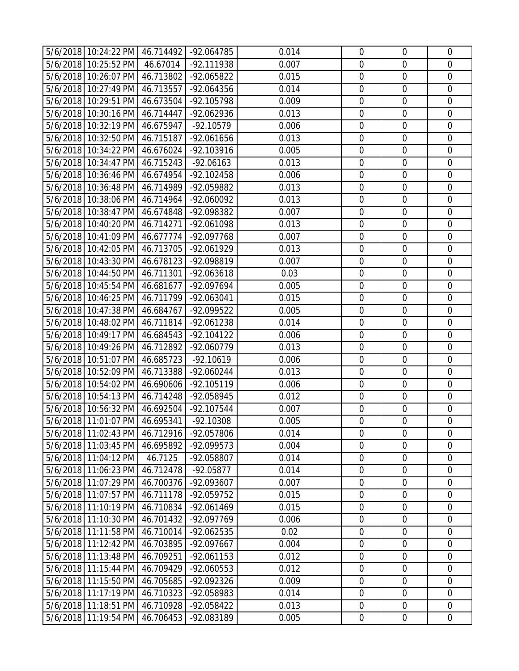| 5/6/2018 10:24:22 PM 46.714492 -92.064785 |           |              | 0.014 | $\mathbf 0$      | $\overline{0}$   | $\mathbf 0$    |
|-------------------------------------------|-----------|--------------|-------|------------------|------------------|----------------|
| 5/6/2018 10:25:52 PM                      | 46.67014  | -92.111938   | 0.007 | $\mathbf 0$      | $\mathbf 0$      | $\overline{0}$ |
| 5/6/2018 10:26:07 PM                      | 46.713802 | -92.065822   | 0.015 | $\mathbf 0$      | $\mathbf 0$      | $\overline{0}$ |
| 5/6/2018 10:27:49 PM                      | 46.713557 | -92.064356   | 0.014 | $\mathbf 0$      | $\mathbf 0$      | $\mathbf 0$    |
| 5/6/2018 10:29:51 PM                      | 46.673504 | -92.105798   | 0.009 | $\overline{0}$   | $\overline{0}$   | $\mathbf 0$    |
| 5/6/2018 10:30:16 PM                      | 46.714447 | -92.062936   | 0.013 | $\mathbf 0$      | $\mathbf 0$      | $\overline{0}$ |
| 5/6/2018 10:32:19 PM                      | 46.675947 | $-92.10579$  | 0.006 | $\mathbf 0$      | $\boldsymbol{0}$ | $\mathbf 0$    |
| 5/6/2018 10:32:50 PM                      | 46.715187 | -92.061656   | 0.013 | $\mathbf 0$      | $\mathbf 0$      | $\mathbf 0$    |
| 5/6/2018 10:34:22 PM                      | 46.676024 | -92.103916   | 0.005 | $\mathbf 0$      | $\overline{0}$   | $\overline{0}$ |
| 5/6/2018 10:34:47 PM 46.715243            |           | $-92.06163$  | 0.013 | $\mathbf 0$      | $\mathbf 0$      | $\mathbf 0$    |
| 5/6/2018 10:36:46 PM                      | 46.674954 | -92.102458   | 0.006 | $\mathbf 0$      | $\mathbf 0$      | $\overline{0}$ |
| 5/6/2018 10:36:48 PM                      | 46.714989 | -92.059882   | 0.013 | $\boldsymbol{0}$ | $\boldsymbol{0}$ | $\mathbf 0$    |
| 5/6/2018 10:38:06 PM                      | 46.714964 | -92.060092   | 0.013 | $\mathbf 0$      | $\mathbf 0$      | $\mathbf 0$    |
| 5/6/2018 10:38:47 PM                      | 46.674848 | -92.098382   | 0.007 | $\mathbf 0$      | $\mathbf 0$      | $\mathbf 0$    |
| 5/6/2018 10:40:20 PM                      | 46.714271 | -92.061098   | 0.013 | $\mathbf 0$      | $\mathbf 0$      | $\mathbf 0$    |
| 5/6/2018 10:41:09 PM                      | 46.677774 | -92.097768   | 0.007 | $\mathbf 0$      | $\overline{0}$   | $\mathbf 0$    |
| 5/6/2018 10:42:05 PM                      | 46.713705 | -92.061929   | 0.013 | $\boldsymbol{0}$ | $\mathbf 0$      | $\mathbf 0$    |
| 5/6/2018 10:43:30 PM                      | 46.678123 | -92.098819   | 0.007 | $\mathbf 0$      | $\overline{0}$   | $\mathbf 0$    |
| 5/6/2018 10:44:50 PM                      | 46.711301 | -92.063618   | 0.03  | $\boldsymbol{0}$ | $\boldsymbol{0}$ | $\mathbf 0$    |
| 5/6/2018 10:45:54 PM 46.681677            |           | -92.097694   | 0.005 | $\mathbf 0$      | $\boldsymbol{0}$ | $\overline{0}$ |
| 5/6/2018 10:46:25 PM                      | 46.711799 | -92.063041   | 0.015 | $\boldsymbol{0}$ | $\mathbf 0$      | $\mathbf 0$    |
| 5/6/2018 10:47:38 PM                      | 46.684767 | -92.099522   | 0.005 | $\mathbf 0$      | $\mathbf 0$      | $\mathbf 0$    |
| 5/6/2018 10:48:02 PM                      | 46.711814 | -92.061238   | 0.014 | $\mathbf 0$      | $\mathbf 0$      | $\mathbf 0$    |
| 5/6/2018 10:49:17 PM                      | 46.684543 | $-92.104122$ | 0.006 | $\mathbf 0$      | $\mathbf 0$      | $\mathbf 0$    |
| 5/6/2018 10:49:26 PM                      | 46.712892 | -92.060779   | 0.013 | $\mathbf 0$      | $\mathbf 0$      | $\overline{0}$ |
| 5/6/2018 10:51:07 PM                      | 46.685723 | $-92.10619$  | 0.006 | $\mathbf 0$      | $\boldsymbol{0}$ | $\mathbf 0$    |
| 5/6/2018 10:52:09 PM                      | 46.713388 | -92.060244   | 0.013 | $\mathbf 0$      | $\mathbf 0$      | $\mathbf 0$    |
| 5/6/2018 10:54:02 PM                      | 46.690606 | -92.105119   | 0.006 | $\overline{0}$   | $\overline{0}$   | $\overline{0}$ |
| 5/6/2018 10:54:13 PM 46.714248            |           | -92.058945   | 0.012 | $\mathbf 0$      | $\mathbf 0$      | $\overline{0}$ |
| 5/6/2018 10:56:32 PM                      | 46.692504 | -92.107544   | 0.007 | $\mathbf 0$      | $\overline{0}$   | $\mathbf 0$    |
| 5/6/2018 11:01:07 PM 46.695341            |           | $-92.10308$  | 0.005 | $\mathbf 0$      | $\mathbf 0$      | $\mathbf 0$    |
| 5/6/2018 11:02:43 PM 46.712916            |           | -92.057806   | 0.014 | $\mathbf 0$      | $\mathbf 0$      | $\mathbf 0$    |
| 5/6/2018 11:03:45 PM                      | 46.695892 | -92.099573   | 0.004 | $\mathbf 0$      | $\boldsymbol{0}$ | $\mathbf 0$    |
| 5/6/2018 11:04:12 PM                      | 46.7125   | -92.058807   | 0.014 | $\mathbf 0$      | $\boldsymbol{0}$ | $\overline{0}$ |
| 5/6/2018 11:06:23 PM                      | 46.712478 | $-92.05877$  | 0.014 | $\mathbf 0$      | $\overline{0}$   | $\overline{0}$ |
| 5/6/2018 11:07:29 PM                      | 46.700376 | -92.093607   | 0.007 | $\mathbf 0$      | $\mathbf 0$      | $\overline{0}$ |
| 5/6/2018 11:07:57 PM                      | 46.711178 | -92.059752   | 0.015 | $\mathbf 0$      | $\mathbf 0$      | $\mathbf 0$    |
| 5/6/2018 11:10:19 PM                      | 46.710834 | -92.061469   | 0.015 | $\boldsymbol{0}$ | $\boldsymbol{0}$ | $\mathbf 0$    |
| 5/6/2018 11:10:30 PM                      | 46.701432 | -92.097769   | 0.006 | $\mathbf 0$      | $\mathbf 0$      | $\mathbf 0$    |
| 5/6/2018 11:11:58 PM                      | 46.710014 | -92.062535   | 0.02  | $\overline{0}$   | $\mathbf 0$      | $\mathbf 0$    |
| 5/6/2018 11:12:42 PM                      | 46.703895 | -92.097667   | 0.004 | $\mathbf 0$      | $\mathbf 0$      | $\overline{0}$ |
| 5/6/2018 11:13:48 PM                      | 46.709251 | -92.061153   | 0.012 | $\mathbf 0$      | $\mathbf 0$      | $\overline{0}$ |
| 5/6/2018 11:15:44 PM                      | 46.709429 | -92.060553   | 0.012 | $\mathbf 0$      | $\mathbf 0$      | $\mathbf 0$    |
| 5/6/2018 11:15:50 PM                      | 46.705685 | -92.092326   | 0.009 | $\mathbf 0$      | $\boldsymbol{0}$ | $\mathbf 0$    |
| 5/6/2018 11:17:19 PM                      | 46.710323 | -92.058983   | 0.014 | $\mathbf 0$      | $\boldsymbol{0}$ | $\mathbf 0$    |
| 5/6/2018 11:18:51 PM                      | 46.710928 | -92.058422   | 0.013 | $\mathbf 0$      | $\mathbf 0$      | $\overline{0}$ |
| 5/6/2018 11:19:54 PM                      | 46.706453 | -92.083189   | 0.005 | $\boldsymbol{0}$ | $\boldsymbol{0}$ | $\mathbf 0$    |